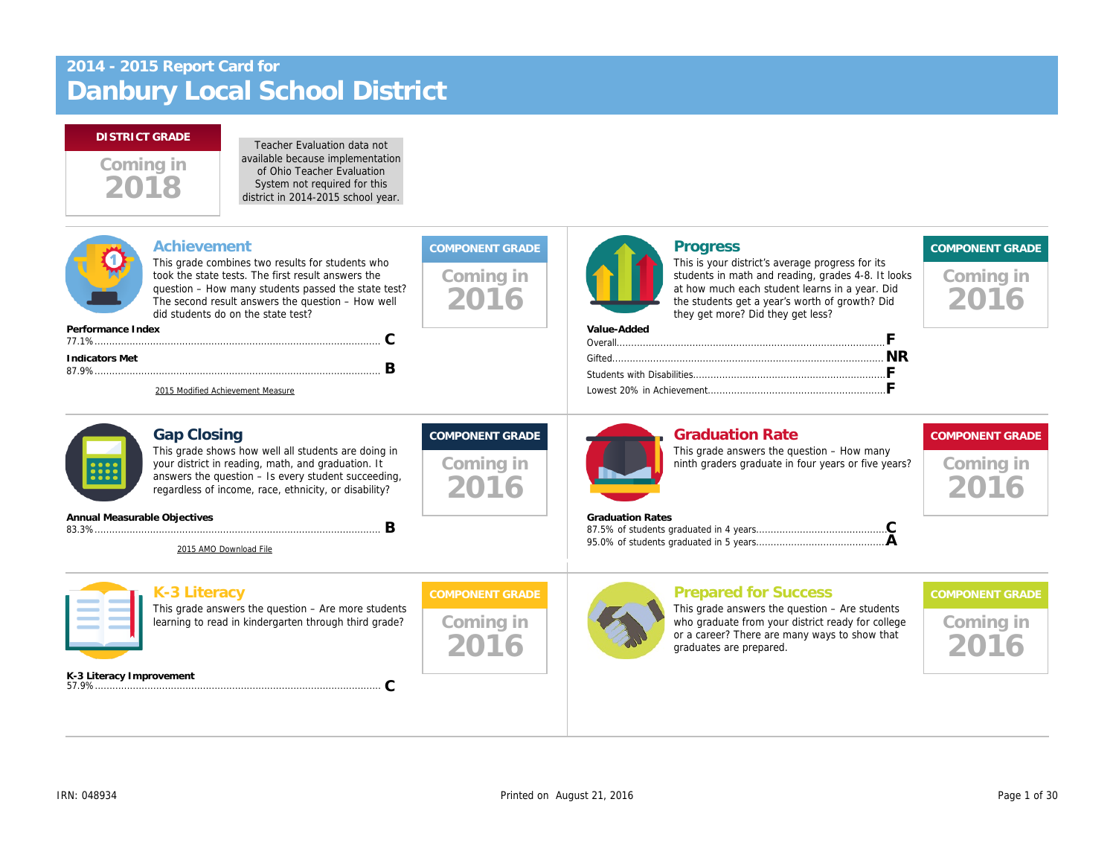# Danbury Local School District 2014 - 2015 Report Card for

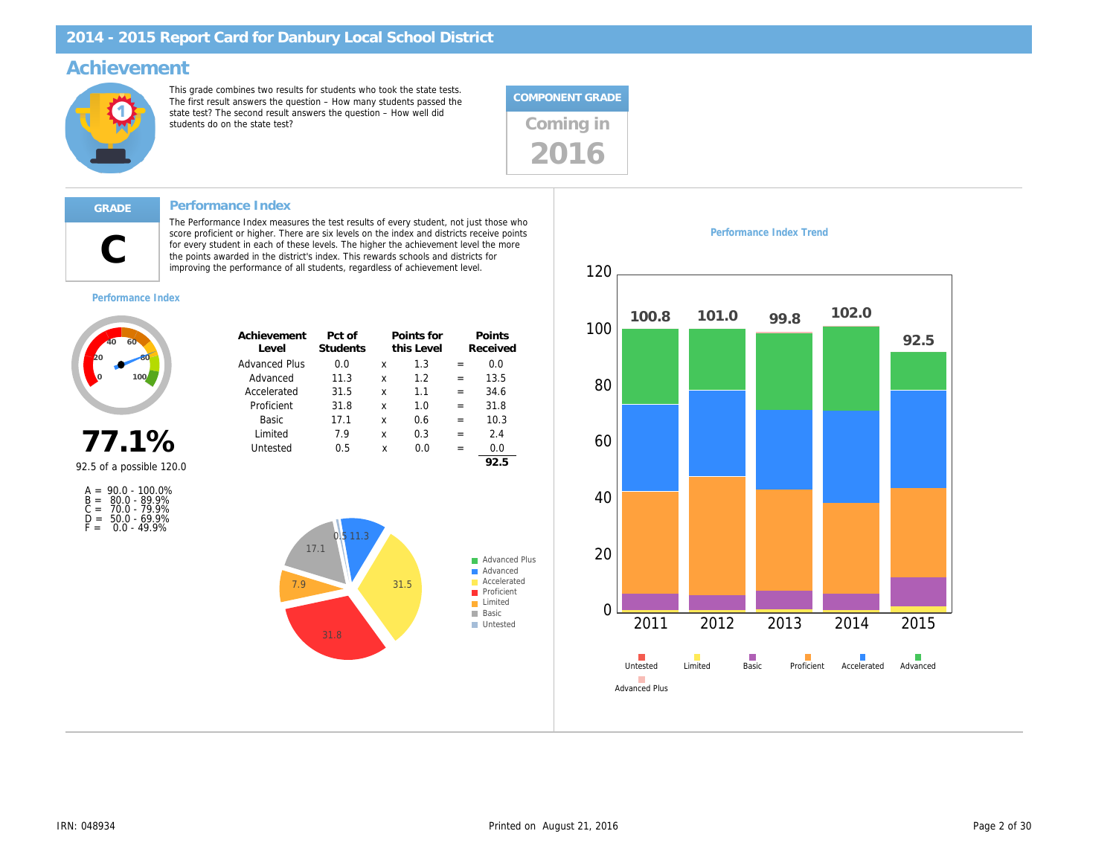#### Achievement

This grade combines two results for students who took the state tests. The first result answers the question – How many students passed the state test? The second result answers the question – How well did state test? The second result answers the question – now well did<br>students do on the state test?

The Performance Index measures the test results of every student, not just those who score proficient or higher. There are six levels on the index and districts receive points for every student in each of these levels. The higher the achievement level the more the points awarded in the district's index. This rewards schools and districts for improving the performance of all students, regardless of achievement level.



#### Performance Index

C

Performance Index

| Achievement<br>l evel | Pct of<br><b>Students</b> |   | Points for<br>this Level |     | Points<br>Received |
|-----------------------|---------------------------|---|--------------------------|-----|--------------------|
| <b>Advanced Plus</b>  | 0.0                       | x | 1.3                      |     | 0.0                |
| Advanced              | 11.3                      | x | 1.2                      | $=$ | 13.5               |
| Accelerated           | 31.5                      | x | 1.1                      | $=$ | 34.6               |
| Proficient            | 31.8                      | x | 1.0                      | $=$ | 31.8               |
| Basic                 | 17.1                      | x | 0.6                      | $=$ | 10.3               |
| Limited               | 7.9                       | x | 0.3                      | $=$ | 2.4                |
| Untested              | 0.5                       | x | 0.O                      |     | 0.0                |
|                       |                           |   |                          |     | 92.5               |

92.5 of a possible 120.0

77.1%

| $A = 90.0 - 100.0\%$<br>80.0 - 89.9%<br>$B =$<br>70.0 - 79.9%<br>$C =$<br>$50.0 - 69.9%$<br>D =<br>$0.0 - 49.9%$<br>F = |
|-------------------------------------------------------------------------------------------------------------------------|
|-------------------------------------------------------------------------------------------------------------------------|

Performance Index Trend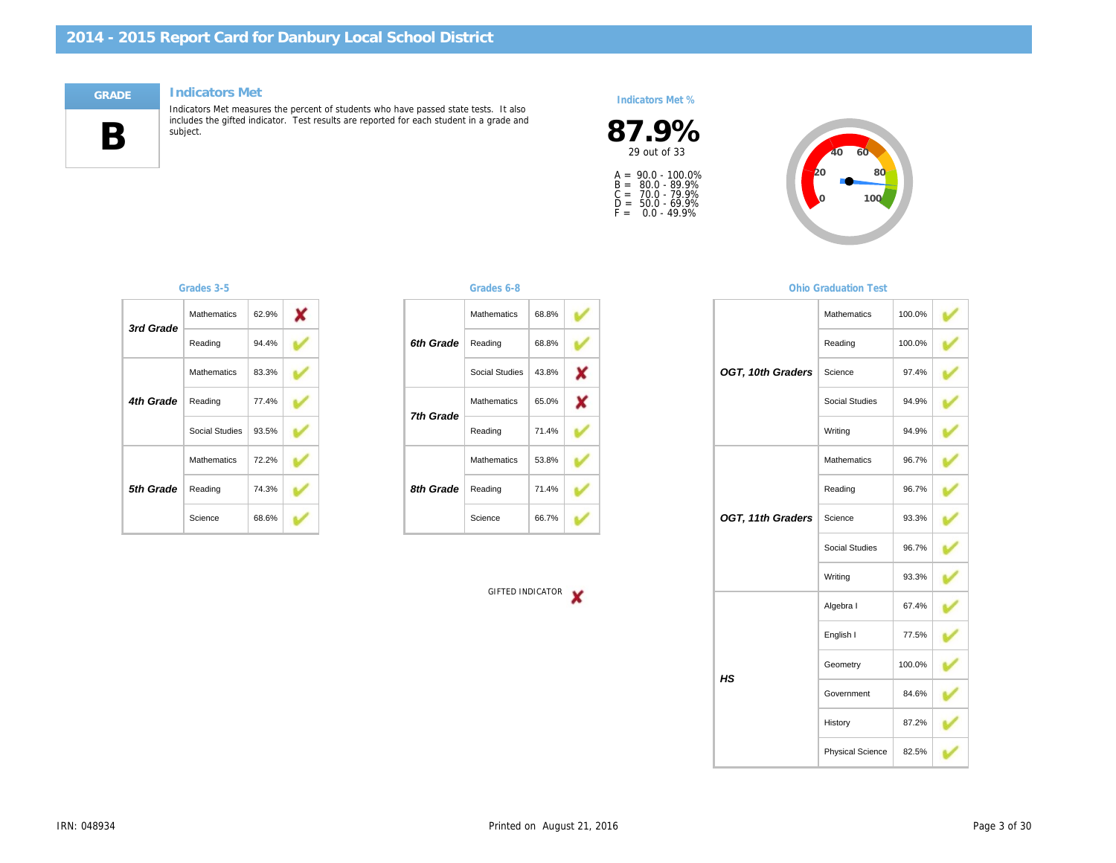#### Indicators Met



Indicators Met measures the percent of students who have passed state tests. It also includes the gifted indicator. Test results are reported for each student in a grade and subject.

#### Indicators Met %

 $87.9\%$ <br>29 out of 33

A =<br>B =<br>C =<br>D =<br>F = 90.0 - 100.0% 80.0 - 89.9% 70.0 - 79.9% 50.0 - 69.9% 0.0 - 49.9%

| 3rd Grade | <b>Mathematics</b> | 62.9% |  |
|-----------|--------------------|-------|--|
|           | Reading            | 94.4% |  |
|           | <b>Mathematics</b> | 83.3% |  |
| 4th Grade | Reading            | 77.4% |  |
|           | Social Studies     | 93.5% |  |
|           | <b>Mathematics</b> | 72.2% |  |
| 5th Grade | Reading            | 74.3% |  |
|           | Science            | 68.6% |  |

#### Grades 3-5 Grades 6-8

|           | <b>Mathematics</b> | 68.8% |  |
|-----------|--------------------|-------|--|
| 6th Grade | Reading            | 68.8% |  |
|           | Social Studies     | 43.8% |  |
| 7th Grade | <b>Mathematics</b> | 65.0% |  |
|           | Reading            | 71.4% |  |
|           | <b>Mathematics</b> | 53.8% |  |
| 8th Grade | Reading            | 71.4% |  |
|           | Science            | 66.7% |  |

GIFTED INDICATOR

#### **Ohio Graduation**

|                   | Mathemati  |
|-------------------|------------|
|                   | Reading    |
| OGT, 10th Graders | Science    |
|                   | Social Stu |
|                   | Writing    |
|                   | Mathemati  |
|                   | Reading    |
| OGT, 11th Graders | Science    |
|                   | Social Stu |
|                   | Writing    |
|                   | Algebra I  |
|                   | English I  |
| HS                | Geometry   |
|                   | Governme   |
|                   | History    |
|                   | Physical S |
|                   |            |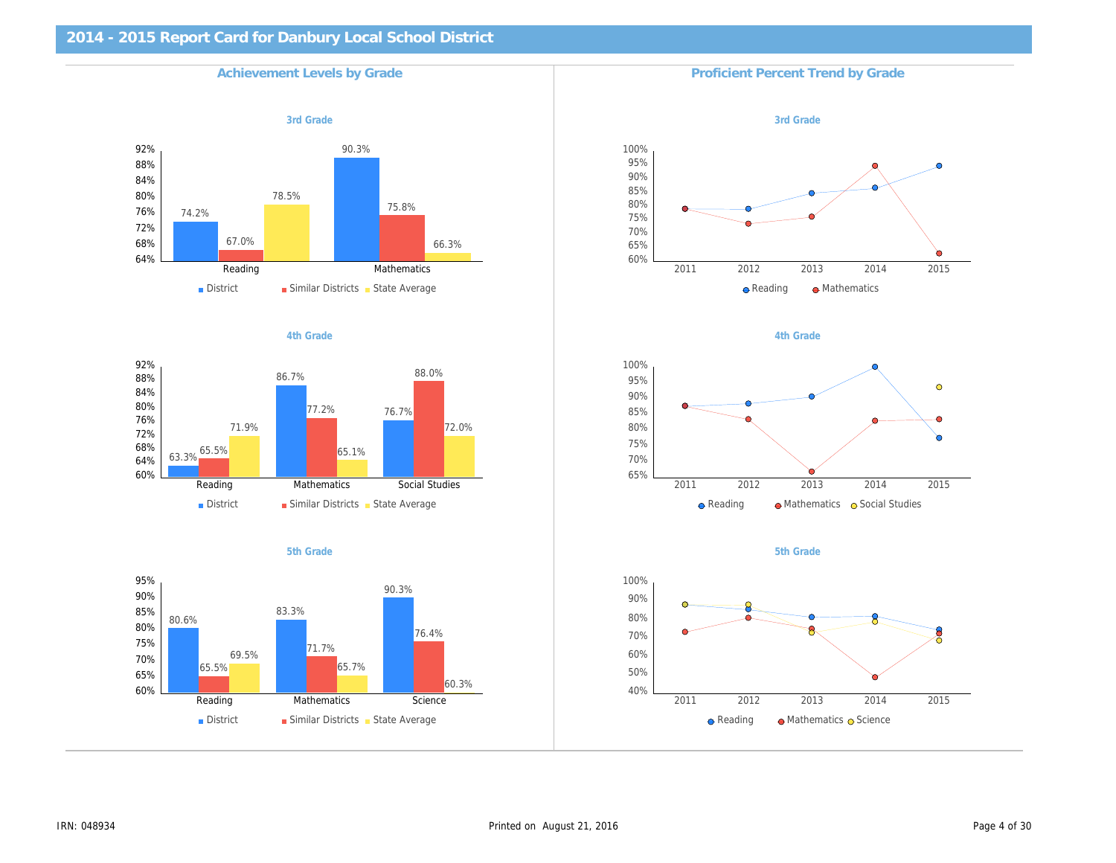# 2014 - 2015 Report Card for Danbury Local School District Achievement Levels by Grade Proficient Percent Trend by Grade 3rd Grade 3rd Grade 3rd Grade 3rd Grade 3rd Grade 3rd Grade 3rd Grade 3rd Grade 3rd Grade 3rd Grade 3rd Grade 4th Grade **4th Grade** 4th Grade 3th and the set of the set of the set of the set of the set of the set of the set of the set of the set of the set of the set of the set of the set of the set of the set of the set of the se 5th Grade 5th Grade 5th Grade 5th Grade 5th Grade 5th Grade 5th Grade 5th Grade 5th Grade 5th Grade 5th Grade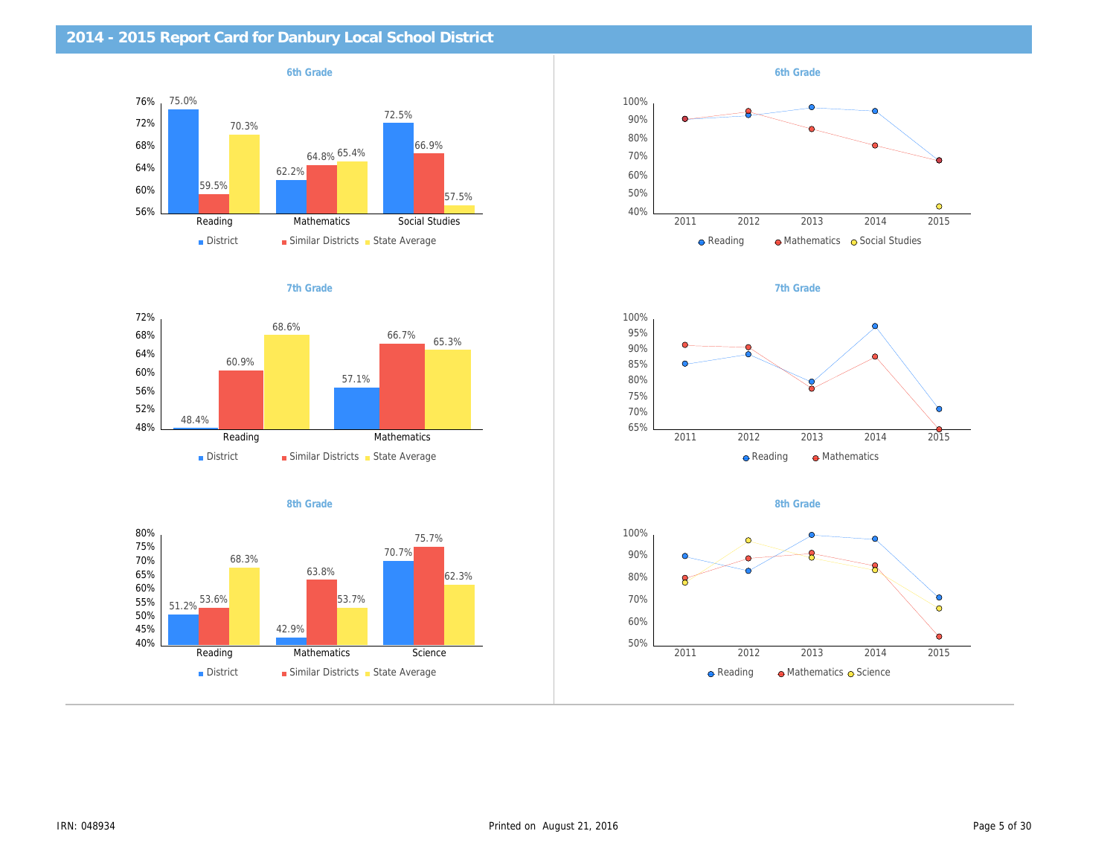| 2014 - 2015 Report Card for Danbury Local School District |           |
|-----------------------------------------------------------|-----------|
| 6th Grade                                                 | 6th Grade |
|                                                           |           |
|                                                           |           |
|                                                           |           |
|                                                           |           |
| 7th Grade                                                 | 7th Grade |
|                                                           |           |
|                                                           |           |
|                                                           |           |
|                                                           |           |
| 8th Grade                                                 | 8th Grade |
|                                                           |           |
|                                                           |           |
|                                                           |           |
|                                                           |           |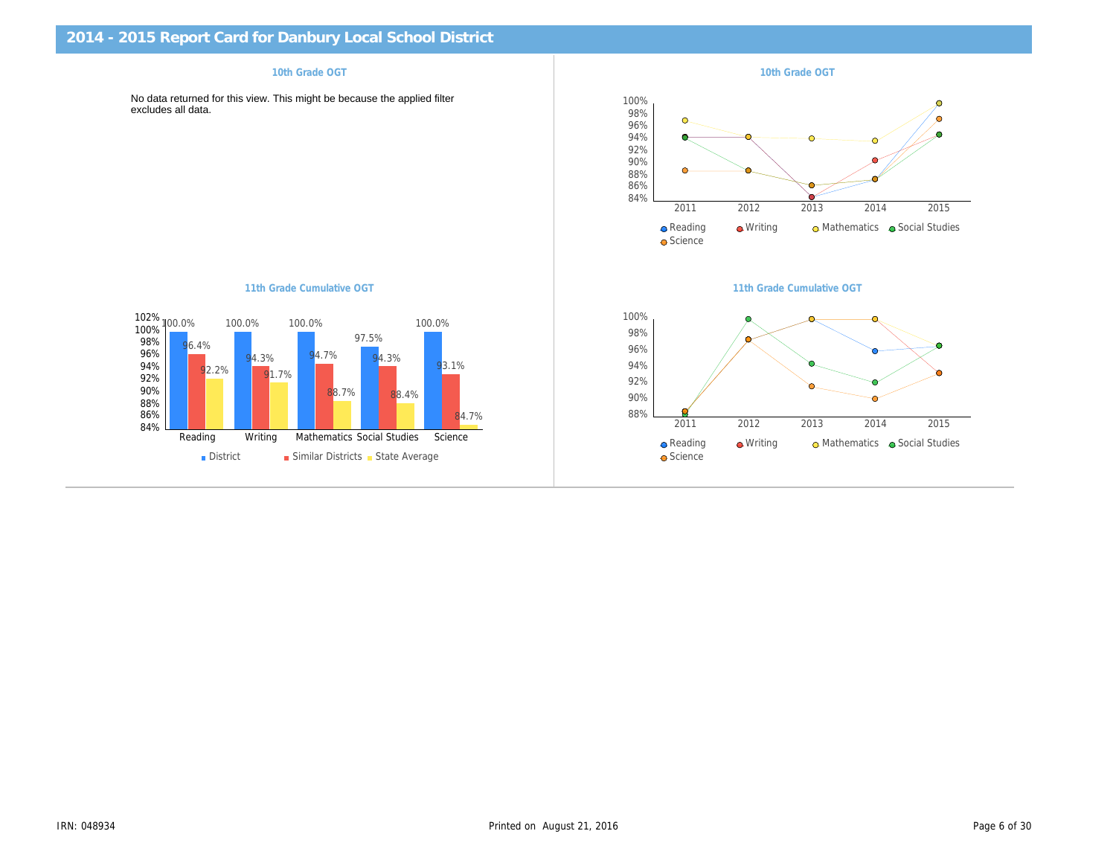| 10th Grade OGT                                                                                 | 10th Grade OGT            |
|------------------------------------------------------------------------------------------------|---------------------------|
| No data returned for this view. This might be because the applied filter<br>excludes all data. |                           |
|                                                                                                |                           |
|                                                                                                |                           |
|                                                                                                |                           |
|                                                                                                |                           |
|                                                                                                |                           |
| 11th Grade Cumulative OGT                                                                      | 11th Grade Cumulative OG1 |
|                                                                                                |                           |
|                                                                                                |                           |
|                                                                                                |                           |
|                                                                                                |                           |
|                                                                                                |                           |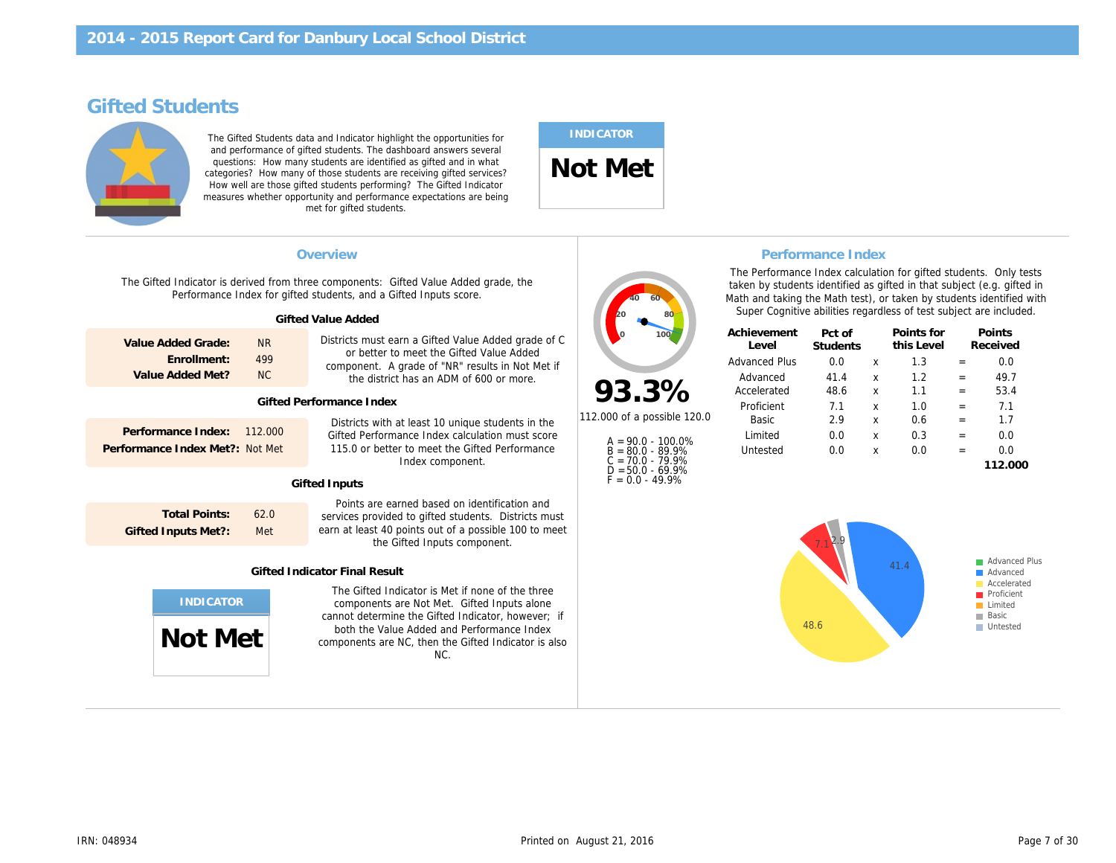## Gifted Students

The Gifted Students data and Indicator highlight the opportunities for and performance of gifted students. The dashboard answers several questions: How many students are identified as gifted and in what categories? How many of those students are receiving gifted services? How well are those gifted students performing? The Gifted Indicator measures whether opportunity and performance expectations are being met for gifted students.

# INDICATOR

Not Met

| <b>Performance Inde</b><br>Overview<br>The Performance Index cald<br>The Gifted Indicator is derived from three components: Gifted Value Added grade, the<br>taken by students identified<br>Performance Index for gifted students, and a Gifted Inputs score.<br>Math and taking the Math tes<br>Super Cognitive abilities re<br><b>Gifted Value Added</b><br>Achievement<br>Pct of<br>Districts must earn a Gifted Value Added grade of C<br>Value Added Grade:<br><b>NR</b><br>Level<br><b>Students</b><br>or better to meet the Gifted Value Added<br>Enrollment:<br>499<br><b>Advanced Plus</b><br>0.0<br>component. A grade of "NR" results in Not Met if<br>Value Added Met?<br>NC.<br>41.4<br>Advanced<br>the district has an ADM of 600 or more.<br>93.3%<br>48.6<br>Accelerated<br><b>Gifted Performance Index</b><br>Proficient<br>7.1<br>112,000 of a possible 120.0<br>2.9<br>Basic<br>Districts with at least 10 unique students in the<br>Performance Index:<br>112,000<br>Gifted Performance Index calculation must score<br>Limited<br>0.0<br>$A = 90.0 - 100.0\%$<br>Performance Index Met?:<br>Not Met<br>115.0 or better to meet the Gifted Performance<br>0.0<br>Untested<br>$B = 80.0 - 89.9%$<br>$C = 70.0 - 79.9%$<br>Index component.<br>$D = 50.0 - 69.9%$<br>$F = 0.0 - 49.9%$<br><b>Gifted Inputs</b><br>Points are earned based on identification and<br><b>Total Points:</b><br>62.0<br>services provided to gifted students. Districts must<br>earn at least 40 points out of a possible 100 to meet<br><b>Gifted Inputs Met?:</b><br>Met<br>the Gifted Inputs component.<br><b>Gifted Indicator Final Result</b><br>The Gifted Indicator is Met if none of the three<br>components are Not Met. Gifted Inputs alone<br>cannot determine the Gifted Indicator, however; if |                                            |  |  |
|-----------------------------------------------------------------------------------------------------------------------------------------------------------------------------------------------------------------------------------------------------------------------------------------------------------------------------------------------------------------------------------------------------------------------------------------------------------------------------------------------------------------------------------------------------------------------------------------------------------------------------------------------------------------------------------------------------------------------------------------------------------------------------------------------------------------------------------------------------------------------------------------------------------------------------------------------------------------------------------------------------------------------------------------------------------------------------------------------------------------------------------------------------------------------------------------------------------------------------------------------------------------------------------------------------------------------------------------------------------------------------------------------------------------------------------------------------------------------------------------------------------------------------------------------------------------------------------------------------------------------------------------------------------------------------------------------------------------------------------------------------------------------------------------------------------|--------------------------------------------|--|--|
|                                                                                                                                                                                                                                                                                                                                                                                                                                                                                                                                                                                                                                                                                                                                                                                                                                                                                                                                                                                                                                                                                                                                                                                                                                                                                                                                                                                                                                                                                                                                                                                                                                                                                                                                                                                                           |                                            |  |  |
|                                                                                                                                                                                                                                                                                                                                                                                                                                                                                                                                                                                                                                                                                                                                                                                                                                                                                                                                                                                                                                                                                                                                                                                                                                                                                                                                                                                                                                                                                                                                                                                                                                                                                                                                                                                                           |                                            |  |  |
|                                                                                                                                                                                                                                                                                                                                                                                                                                                                                                                                                                                                                                                                                                                                                                                                                                                                                                                                                                                                                                                                                                                                                                                                                                                                                                                                                                                                                                                                                                                                                                                                                                                                                                                                                                                                           |                                            |  |  |
|                                                                                                                                                                                                                                                                                                                                                                                                                                                                                                                                                                                                                                                                                                                                                                                                                                                                                                                                                                                                                                                                                                                                                                                                                                                                                                                                                                                                                                                                                                                                                                                                                                                                                                                                                                                                           | both the Value Added and Performance Index |  |  |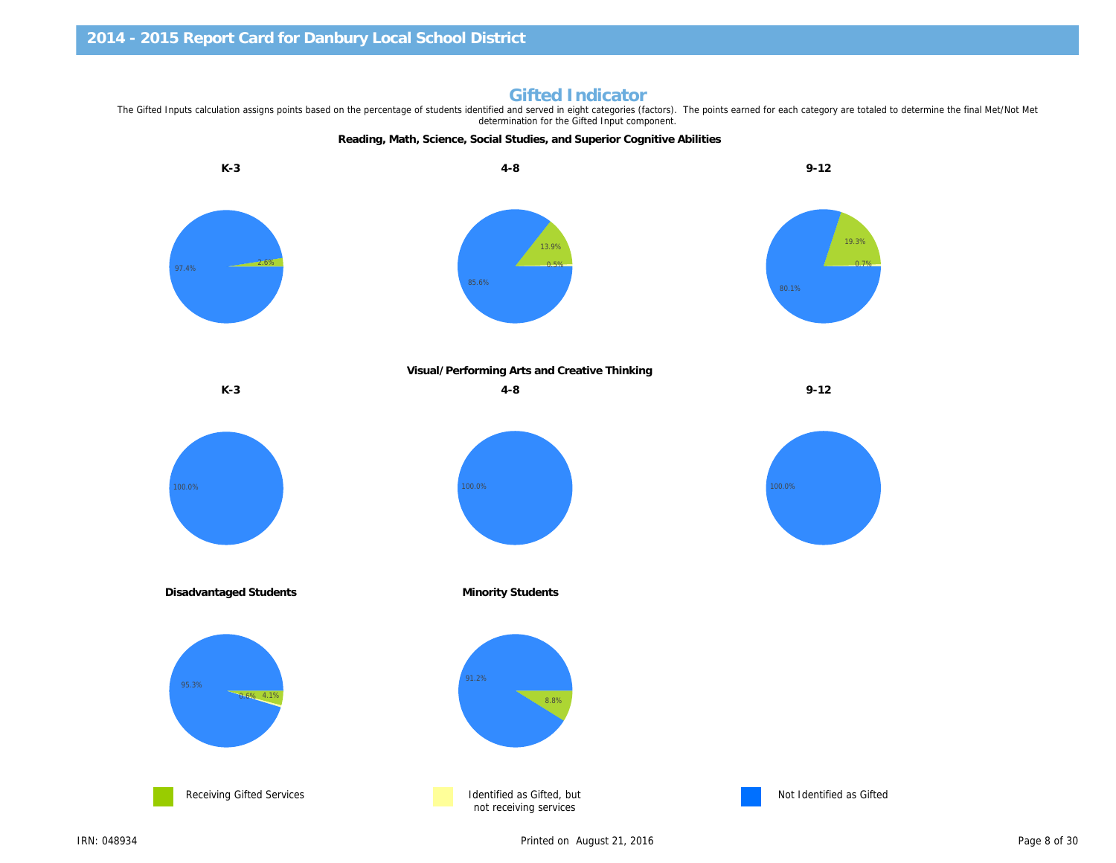Reading, Math, Science, Social Studies, and Superior Cognitive Abilities K-3 4-8 9-12

Gifted Indicator<br>The Gifted Inputs calculation assigns points based on the percentage of students identified and served in eight categories (factors). The points earned for each category are to determination for the Gifted Input component.

Visual/Performing Arts and Creative Thinking

K-3 9-12

Disadvantaged Students **Minority Students** Minority Students

Receiving Gifted Services **Intervention Control** Identified as Gifted, but not receiving services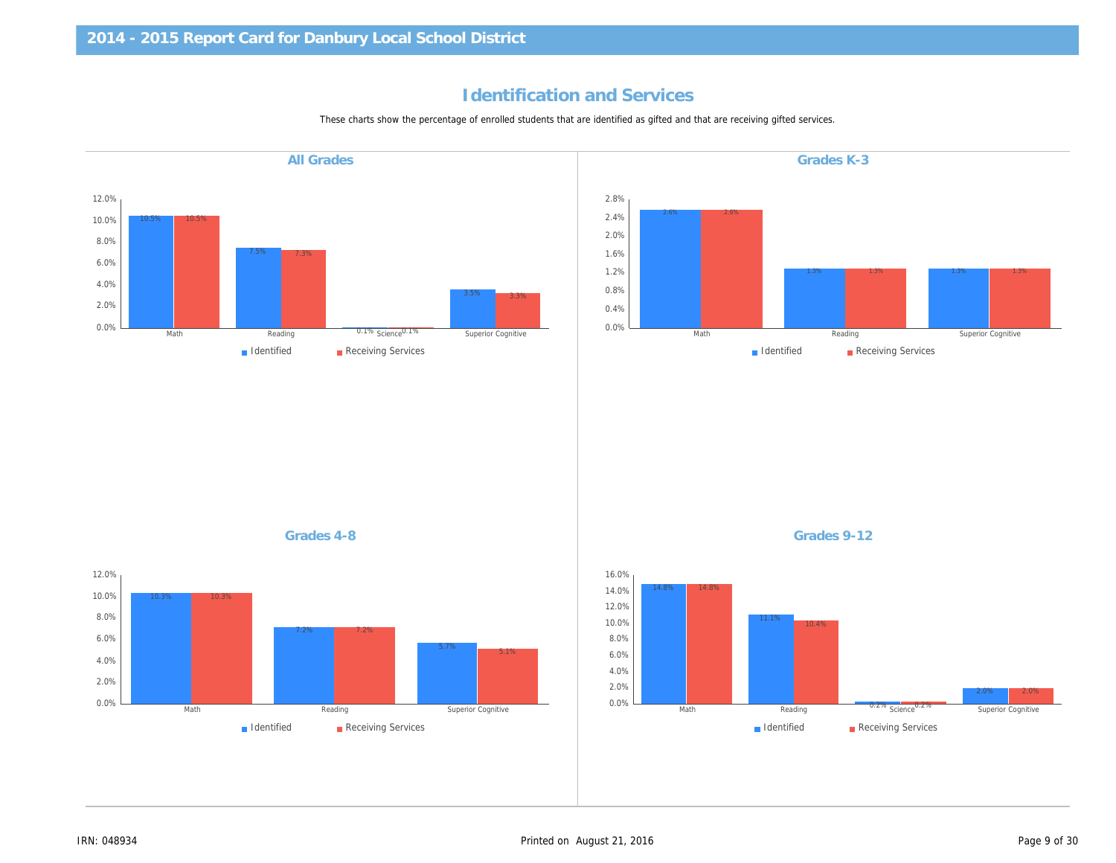# Identification and Services

These charts show the percentage of enrolled students that are identified as gifted and that are receiving gifted services.

Grades K-3 Grades 4-8 Grades 9-12 All Grades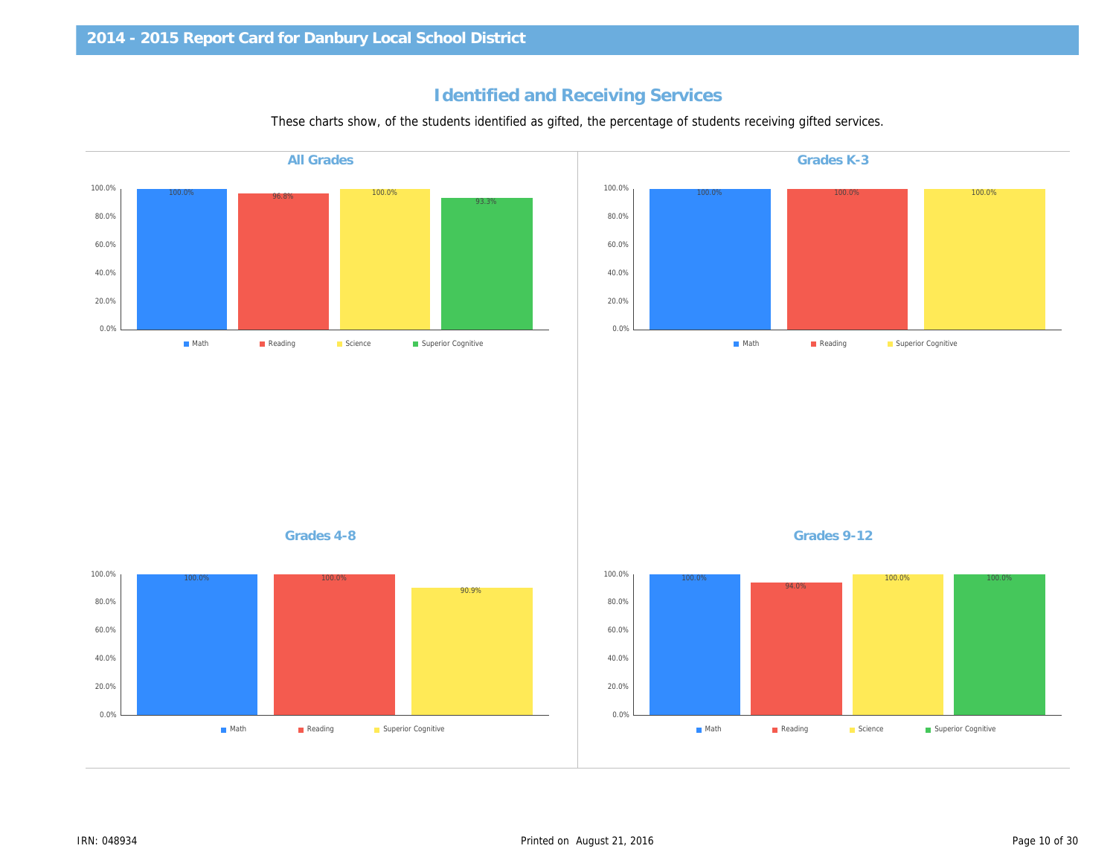# Identified and Receiving Services

These charts show, of the students identified as gifted, the percentage of students receiving gifted service

| <b>All Grades</b> | Grades K-3  |
|-------------------|-------------|
|                   |             |
|                   |             |
|                   |             |
|                   |             |
|                   |             |
|                   |             |
|                   |             |
|                   |             |
|                   |             |
|                   |             |
|                   |             |
|                   |             |
|                   |             |
|                   |             |
|                   |             |
|                   |             |
|                   |             |
| Grades 4-8        | Grades 9-12 |
|                   |             |
|                   |             |
|                   |             |
|                   |             |
|                   |             |
|                   |             |
|                   |             |
|                   |             |
|                   |             |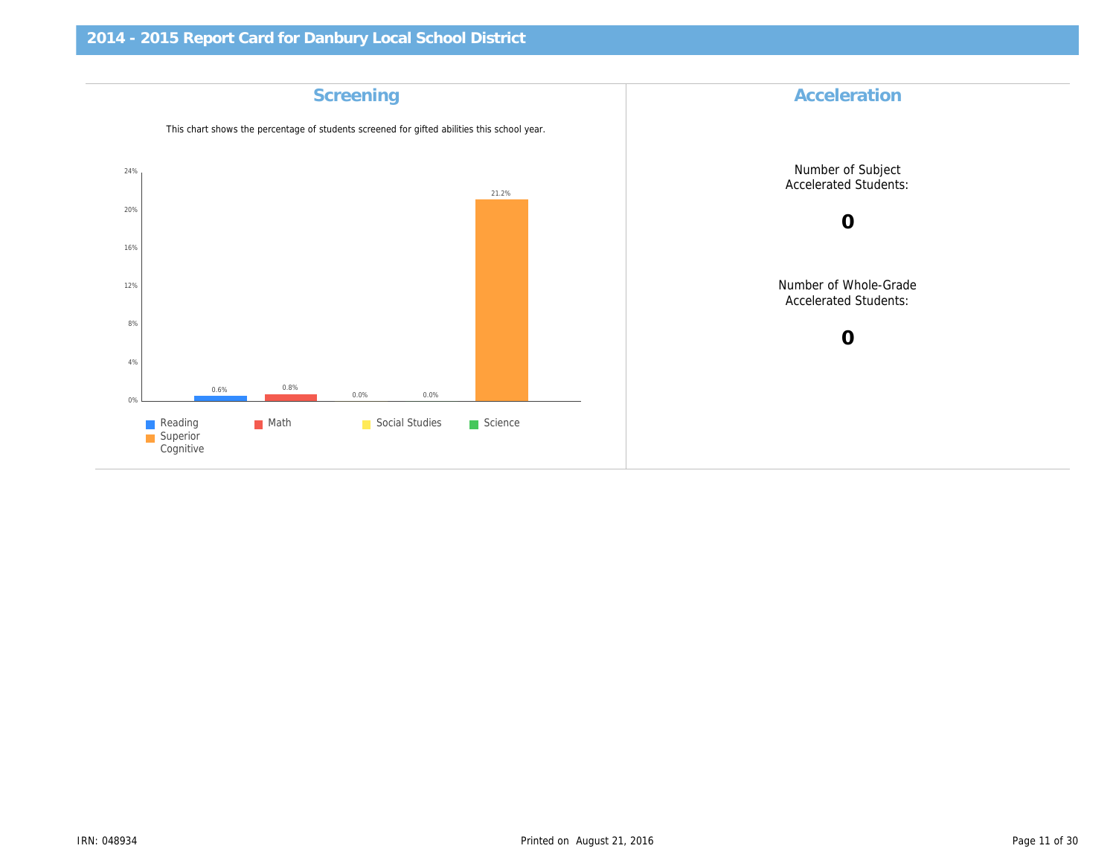| Accelerat                     | Screening                                                                                   |
|-------------------------------|---------------------------------------------------------------------------------------------|
|                               | This chart shows the percentage of students screened for gifted abilities this school year. |
| Number of S<br>Accelerated S  |                                                                                             |
| $\mathbf 0$                   |                                                                                             |
| Number of Wh<br>Accelerated S |                                                                                             |
| $\mathbf 0$                   |                                                                                             |
|                               |                                                                                             |
|                               |                                                                                             |
|                               |                                                                                             |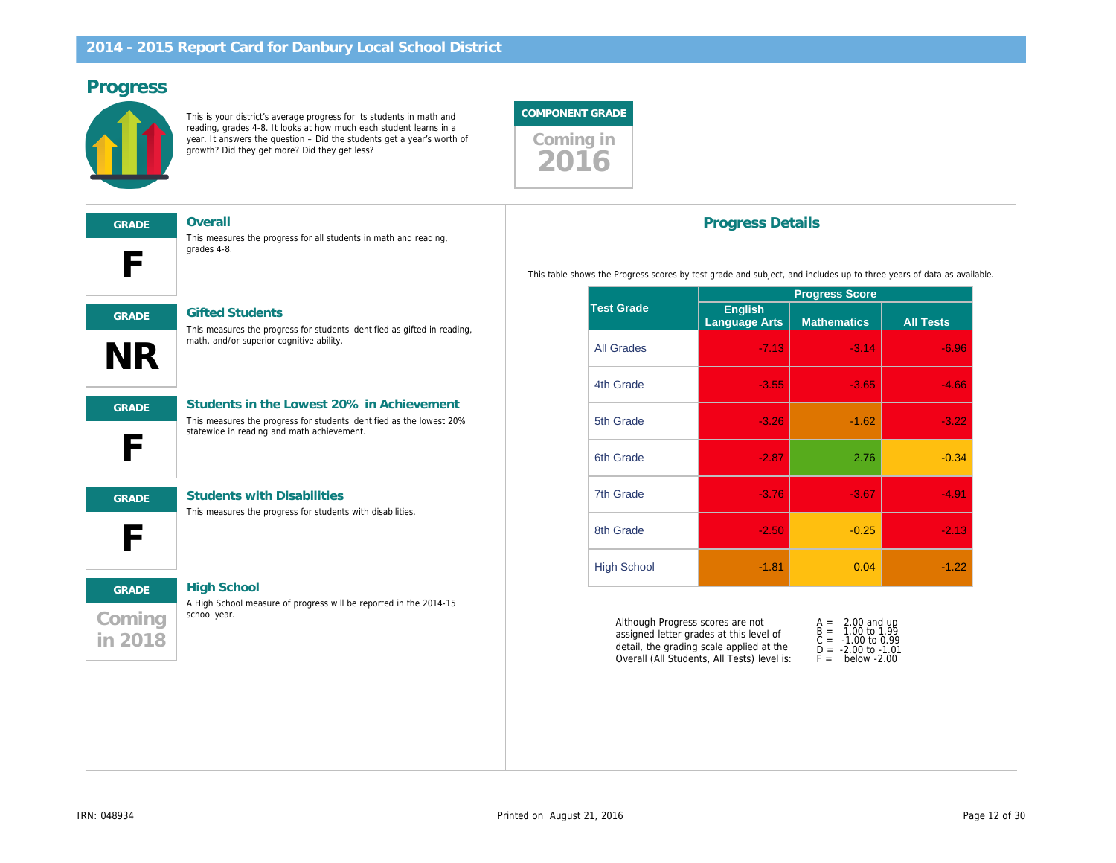#### Progress

This is your district's average progress for its students in math and reading, grades 4-8. It looks at how much each student learns in a year. It answers the question – Did the students get a year's worth of growth? Did they get more? Did they get less?



| <b>GRADE</b> |  |
|--------------|--|
|              |  |
|              |  |

Overall

This measures the progress for all students in math and reading, grades 4-8.



#### GRADE Gifted Students

This measures the progress for students identified as gifted in reading, math, and/or superior cognitive ability.



#### GRADE Students in the Lowest 20% in Achievement

This measures the progress for students identified as the lowest 20% statewide in reading and math achievement.



#### GRADE Students with Disabilities

This measures the progress for students with disabilities.

# Coming in 2018 GRADE High School

A High School measure of progress will be reported in the 2014-15 school year.

#### Progress Details

This table shows the Progress scores by test grade and subject, and includes up to

|                    | <b>Progress Scor</b>     |                    |  |
|--------------------|--------------------------|--------------------|--|
| <b>Test Grade</b>  | English<br>Language Arts | <b>Mathematics</b> |  |
| <b>All Grades</b>  | $-7.13$                  | $-3.$              |  |
| 4th Grade          | $-3.55$                  | $-3.$              |  |
| 5th Grade          | $-3.26$                  | $-1$               |  |
| 6th Grade          | $-2.87$                  | $\overline{2}$ .   |  |
| <b>7th Grade</b>   | $-3.76$                  | -3.                |  |
| 8th Grade          | $-2.50$                  | -0.                |  |
| <b>High School</b> | $-1.81$                  | 0                  |  |

Although Progress scores are not assigned letter grades at this level of detail, the grading scale applied at the Overall (All Students, All Tests) level is: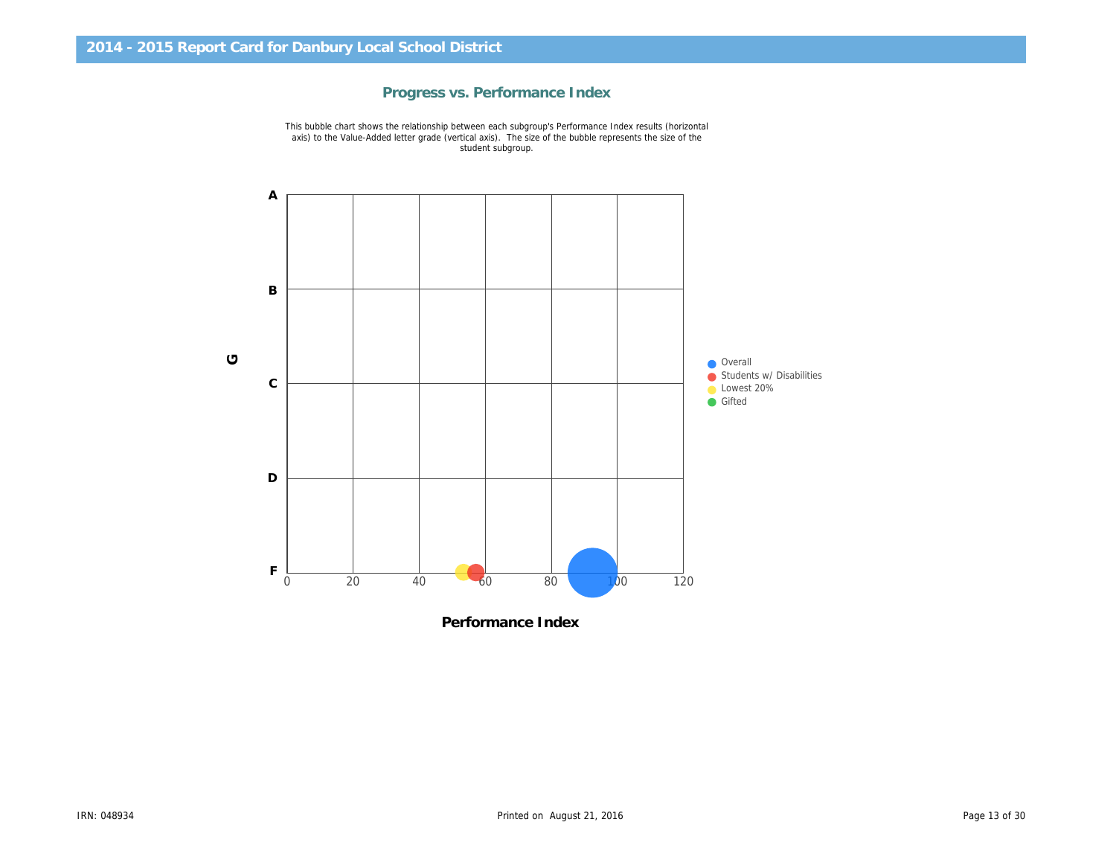

Progress vs. Performance Index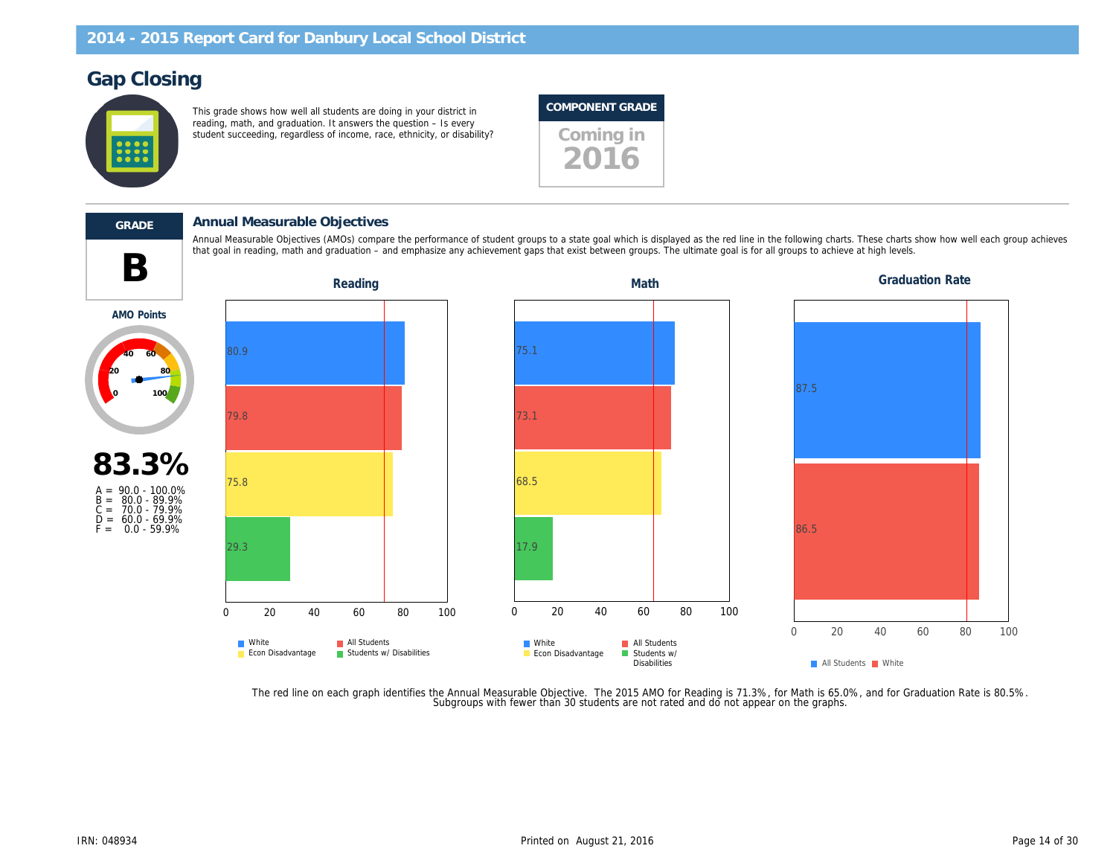# Gap Closing

This grade shows how well all students are doing in your district in reading, math, and graduation. It answers the question – Is every reading, main, and graduation. It answers the question to every student succeeding, regardless of income, race, ethnicity, or disability?

#### COMPONENT GRADE

2016



#### GRADE Annual Measurable Objectives

that goal in reading, math and graduation – and emphasize any achievement gaps that exist between groups. The ultimate goal is for all groups to achieve at high levels. The ultimate goal is for all groups to achieve at hig Annual Measurable Objectives (AMOs) compare the performance of student groups to a state goal which is displayed as the red line in the following charts. These charts of the following charts of the red each group achieves

AMO Points



The red line on each graph identifies the Annual Measurable Objective. The 2015 AMO for Reading is 71.3%, for Math is 65.0%,<br>.Subgroups with fewer than 30 students are not rated and do not appear on the graphs.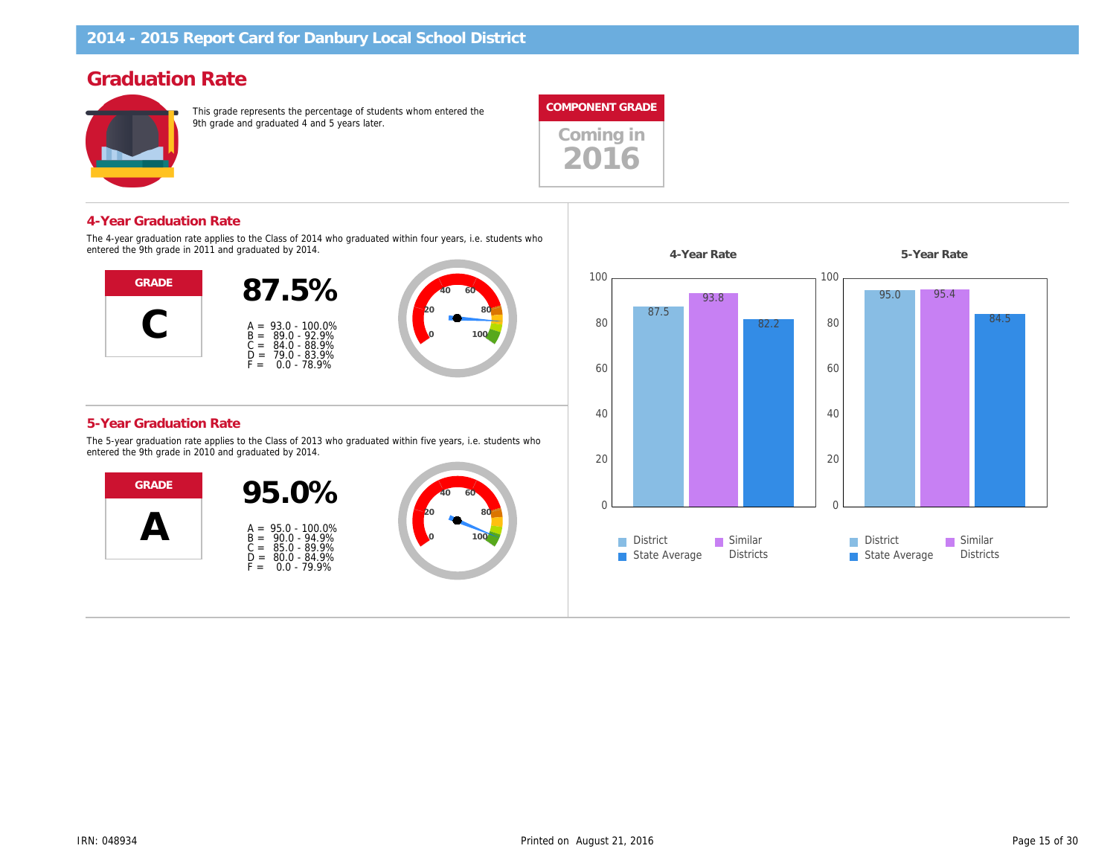# Graduation Rate

This grade represents the percentage of students whom entered the 9th grade and graduated 4 and 5 years later.



Coming in 2016

#### 4-Year Graduation Rate

The 4-year graduation rate applies to the Class of 2014 who graduated within four years, i.e. students who entered the 9th grade in 2011 and graduated by 2014.



#### 5-Year Graduation Rate

The 5-year graduation rate applies to the Class of 2013 who graduated within five years, i.e. students who entered the 9th grade in 2010 and graduated by 2014.



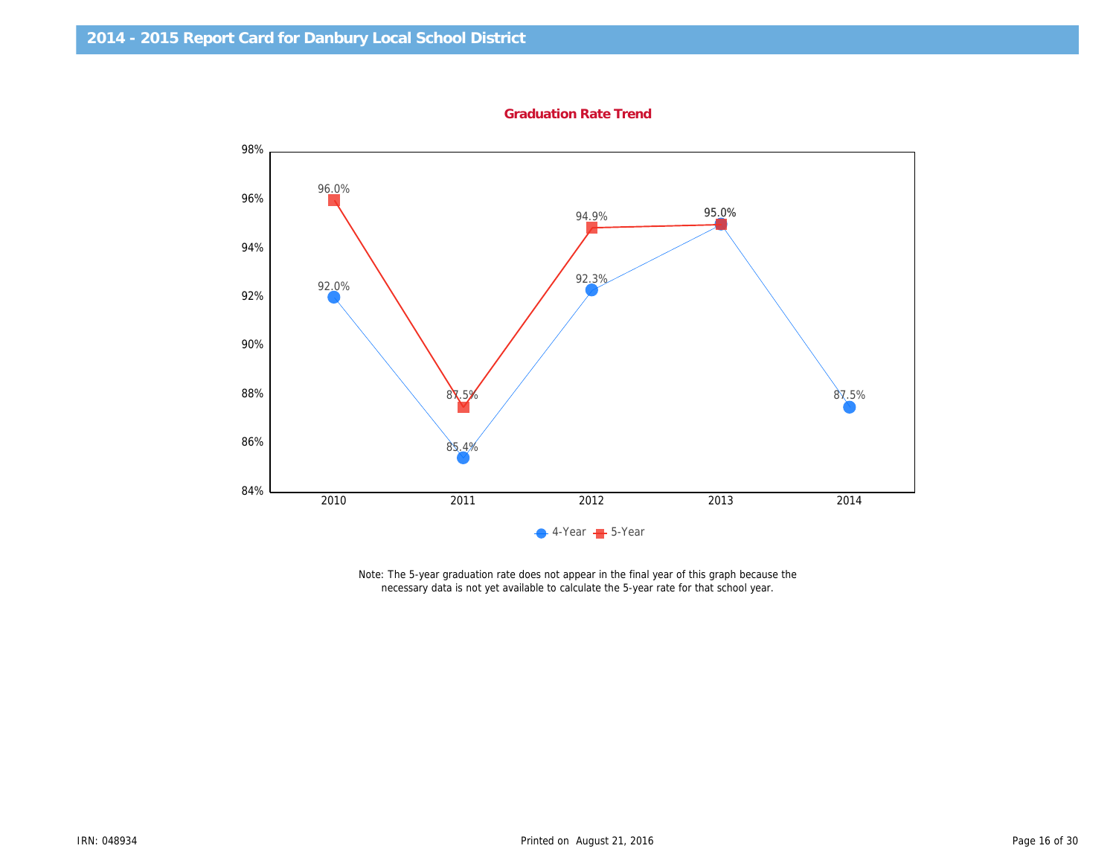Graduation Rate Trend

Note: The 5-year graduation rate does not appear in the final year of this graph because the necessary data is not yet available to calculate the 5-year rate for that school year.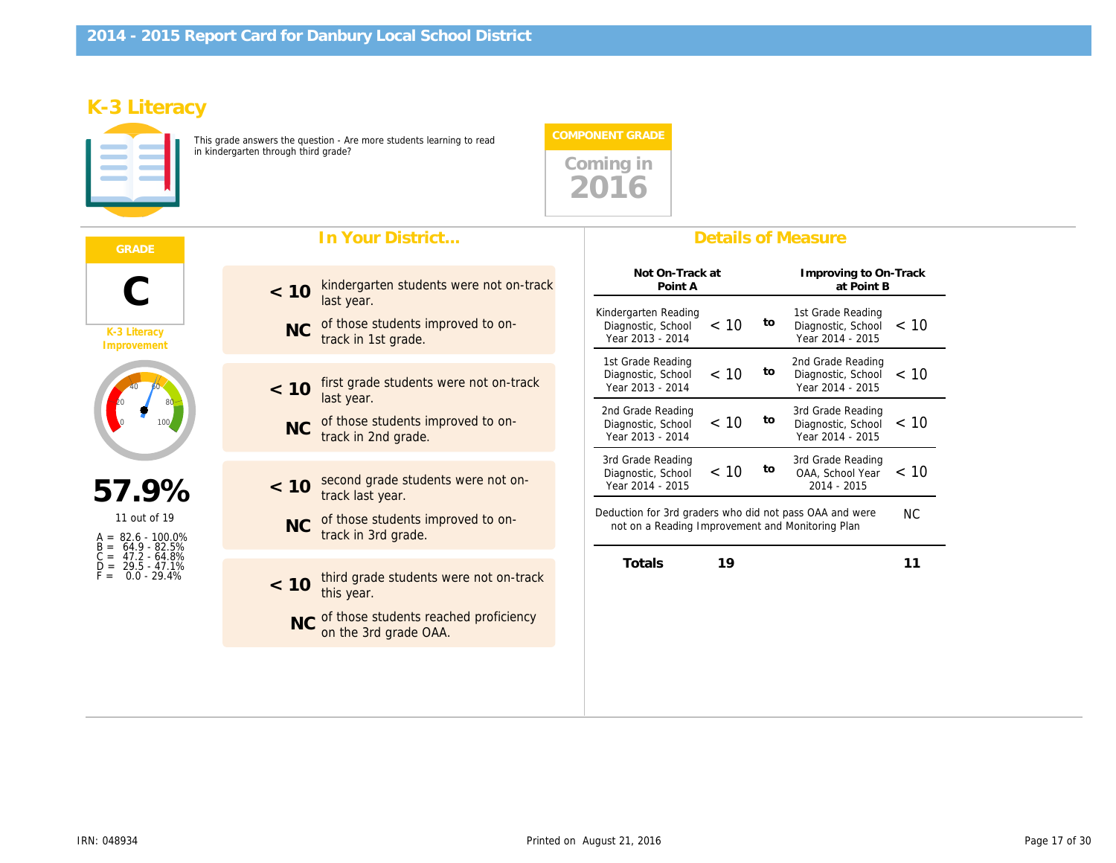# K-3 Literacy

This grade answers the question - Are more students learning to read in kindergarten through third grade?



|                                                           | In Your District                                                                    | <b>Details of Measure</b>                                                                                                        |
|-----------------------------------------------------------|-------------------------------------------------------------------------------------|----------------------------------------------------------------------------------------------------------------------------------|
|                                                           | kindergarten students were not on-track<br>< 10                                     | Not On-Track at<br>Improving to<br>Point A<br>at Poi                                                                             |
| K-3 Literacy<br>Improvement                               | last year.<br>of those students improved to on-<br><b>NC</b><br>track in 1st grade. | Kindergarten Reading<br>1st Grade Rea<br>to<br>< 10<br>Diagnostic, School<br>Diagnostic, So<br>Year 2013 - 2014<br>Year 2014 - 2 |
|                                                           | first grade students were not on-track<br>< 10<br>last year.                        | 2nd Grade Rea<br>1st Grade Reading<br>to<br>< 10<br>Diagnostic, School<br>Diagnostic, So<br>Year 2013 - 2014<br>Year 2014 - 2    |
|                                                           | of those students improved to on-<br><b>NC</b><br>track in 2nd grade.               | 2nd Grade Reading<br>3rd Grade Rea<br>to<br>< 10<br>Diagnostic, So<br>Diagnostic, School<br>Year 2014 - 2<br>Year 2013 - 2014    |
|                                                           |                                                                                     | 3rd Grade Rea<br>3rd Grade Reading<br>to<br>< 10<br>OAA, School                                                                  |
| 57.9%                                                     | second grade students were not on-<br>< 10<br>track last year.                      | Diagnostic, School<br>Year 2014 - 2015<br>2014 - 201                                                                             |
| 11 out of 19<br>$A = 82.6 - 100.0\%$<br>64.9 - 82.5%      | of those students improved to on-<br><b>NC</b><br>track in 3rd grade.               | Deduction for 3rd graders who did not pass OAA and we<br>not on a Reading Improvement and Monitoring Plan                        |
| $C = 47.2 - 64.8\%$<br>29.5 - 47.1%<br>0.0 - 29.4%<br>F = | third grade students were not on-track<br>< 10<br>this year.                        | 19<br>Totals                                                                                                                     |
|                                                           | NC of those students reached proficiency<br>on the 3rd grade OAA.                   |                                                                                                                                  |
|                                                           |                                                                                     |                                                                                                                                  |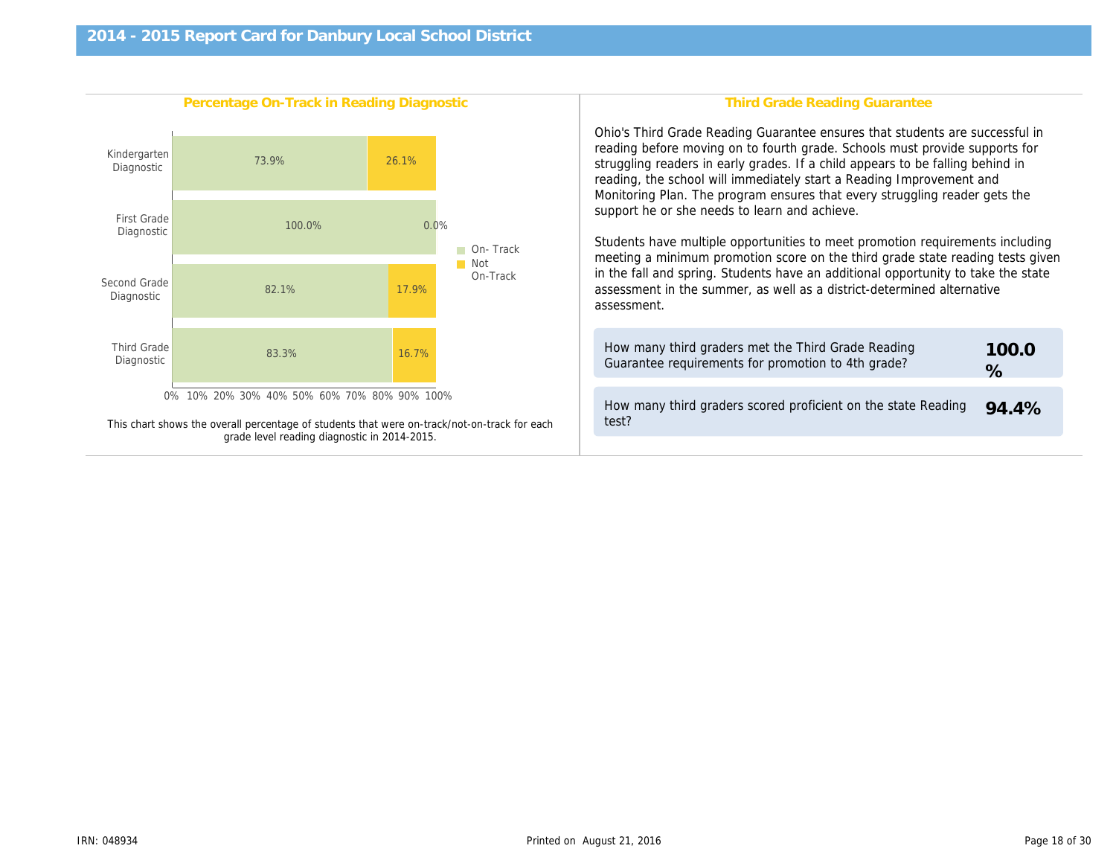| Percentage On-Track in Reading Diagnostic                                                    | Third Grade Reading Gr                                                                                                                                                                                                                                                                                                                                                                                                                                                                                                          |
|----------------------------------------------------------------------------------------------|---------------------------------------------------------------------------------------------------------------------------------------------------------------------------------------------------------------------------------------------------------------------------------------------------------------------------------------------------------------------------------------------------------------------------------------------------------------------------------------------------------------------------------|
|                                                                                              | Ohio's Third Grade Reading Guarantee ensure<br>reading before moving on to fourth grade. Scho<br>struggling readers in early grades. If a child ap<br>reading, the school will immediately start a Rea<br>Monitoring Plan. The program ensures that eve<br>support he or she needs to learn and achieve.<br>Students have multiple opportunities to meet p<br>meeting a minimum promotion score on the thi<br>in the fall and spring. Students have an additio<br>assessment in the summer, as well as a distric<br>assessment. |
|                                                                                              | How many third graders met the Third Grade<br>Guarantee requirements for promotion to 4th                                                                                                                                                                                                                                                                                                                                                                                                                                       |
| This chart shows the overall percentage of students that were on-track/not-on-track for each | How many third graders scored proficient on<br>test?                                                                                                                                                                                                                                                                                                                                                                                                                                                                            |
| grade level reading diagnostic in 2014-2015.                                                 |                                                                                                                                                                                                                                                                                                                                                                                                                                                                                                                                 |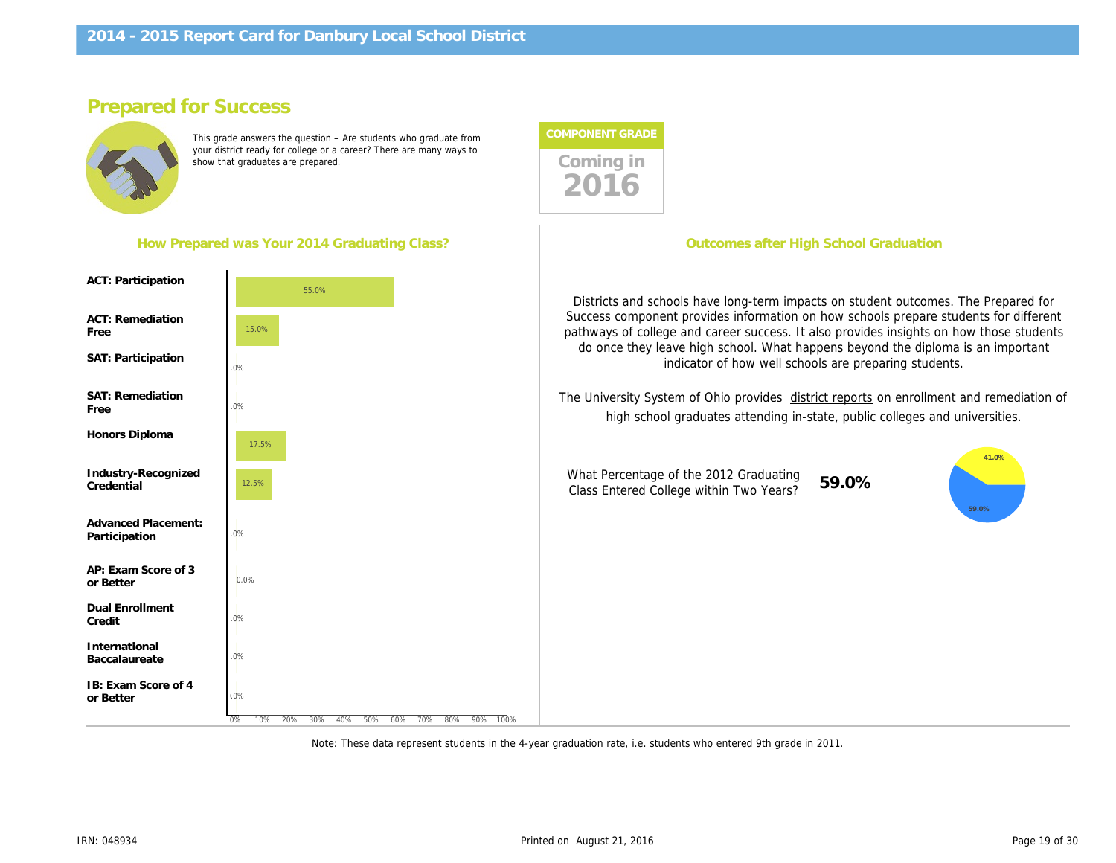# Prepared for Success

This grade answers the question – Are students who graduate from your district ready for college or a career? There are many ways to show that graduates are prepared.

| How Prepared was Your 2014 Graduating Class? | Outcomes after High School Gr                                                                                                                                   |
|----------------------------------------------|-----------------------------------------------------------------------------------------------------------------------------------------------------------------|
| <b>ACT: Participation</b>                    |                                                                                                                                                                 |
| <b>ACT: Remediation</b><br>Free              | Districts and schools have long-term impacts on stu<br>Success component provides information on how sc<br>pathways of college and career success. It also prov |
| SAT: Participation                           | do once they leave high school. What happens be<br>indicator of how well schools are pr                                                                         |
| <b>SAT: Remediation</b><br>Free              | The University System of Ohio provides district report<br>high school graduates attending in-state, pub                                                         |
| Honors Diploma                               |                                                                                                                                                                 |
| Industry-Recognized<br>Credential            | What Percentage of the 2012 Graduating<br>59.0%<br>Class Entered College within Two Years?                                                                      |
| <b>Advanced Placement:</b><br>Participation  |                                                                                                                                                                 |
| AP: Exam Score of 3<br>or Better             |                                                                                                                                                                 |
| <b>Dual Enrollment</b><br>Credit             |                                                                                                                                                                 |
| International<br>Baccalaureate               |                                                                                                                                                                 |
| IB: Exam Score of 4<br>or Better             |                                                                                                                                                                 |
|                                              |                                                                                                                                                                 |

Note: These data represent students in the 4-year graduation rate, i.e. students who entered 9th grade in 2011.

Coming in<br>2016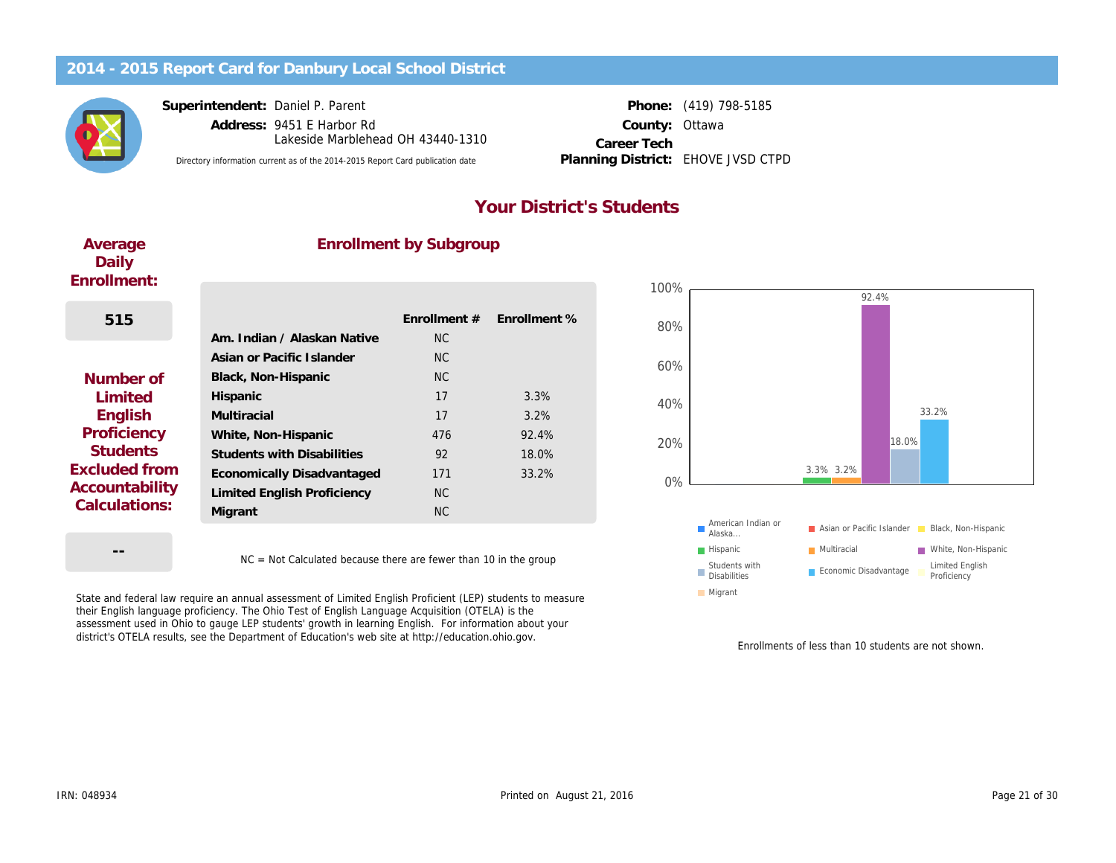Superintendent: Daniel P. Parent

Address: 9451 E Harbor Rd County: Lakeside Marblehead OH 43440-1310

Directory information current as of the 2014-2015 Report Card publication date Planning District: EHOVE JVSD CTPD

Phone: (419) 798-5185 **Ottawa** Career Tech Planning District:

#### Your District's Students

| Average<br>Daily<br>Enrollment: | <b>Enrollment by Subgroup</b>     |                |              |  |
|---------------------------------|-----------------------------------|----------------|--------------|--|
|                                 |                                   |                |              |  |
| 515                             |                                   | Enrollment #   | Enrollment % |  |
|                                 | Am. Indian / Alaskan Native       | NC.            |              |  |
|                                 | Asian or Pacific Islander         | N <sub>C</sub> |              |  |
| Number of                       | Black, Non-Hispanic               | NC.            |              |  |
| Limited                         | Hispanic                          | 17             | 3.3%         |  |
| English                         | Multiracial                       | 17             | 3.2%         |  |
| Proficiency                     | White, Non-Hispanic               | 476            | 92.4%        |  |
| <b>Students</b>                 | <b>Students with Disabilities</b> | 92             | 18.0%        |  |
| Excluded from                   | Economically Disadvantaged        | 171            | 33.2%        |  |
| Accountability                  | Limited English Proficiency       | N <sub>C</sub> |              |  |
| Calculations:                   | Migrant                           | <b>NC</b>      |              |  |
|                                 |                                   |                |              |  |

NC = Not Calculated because there are fewer than 10 in the group

State and federal law require an annual assessment of Limited English Proficient (LEP) students to measure their English language proficiency. The Ohio Test of English Language Acquisition (OTELA) is the assessment used in Ohio to gauge LEP students' growth in learning English. For information about your district's OTELA results, see the Department of Education's web site at http://education.ohio.gov.

Enrollments of less than 1

--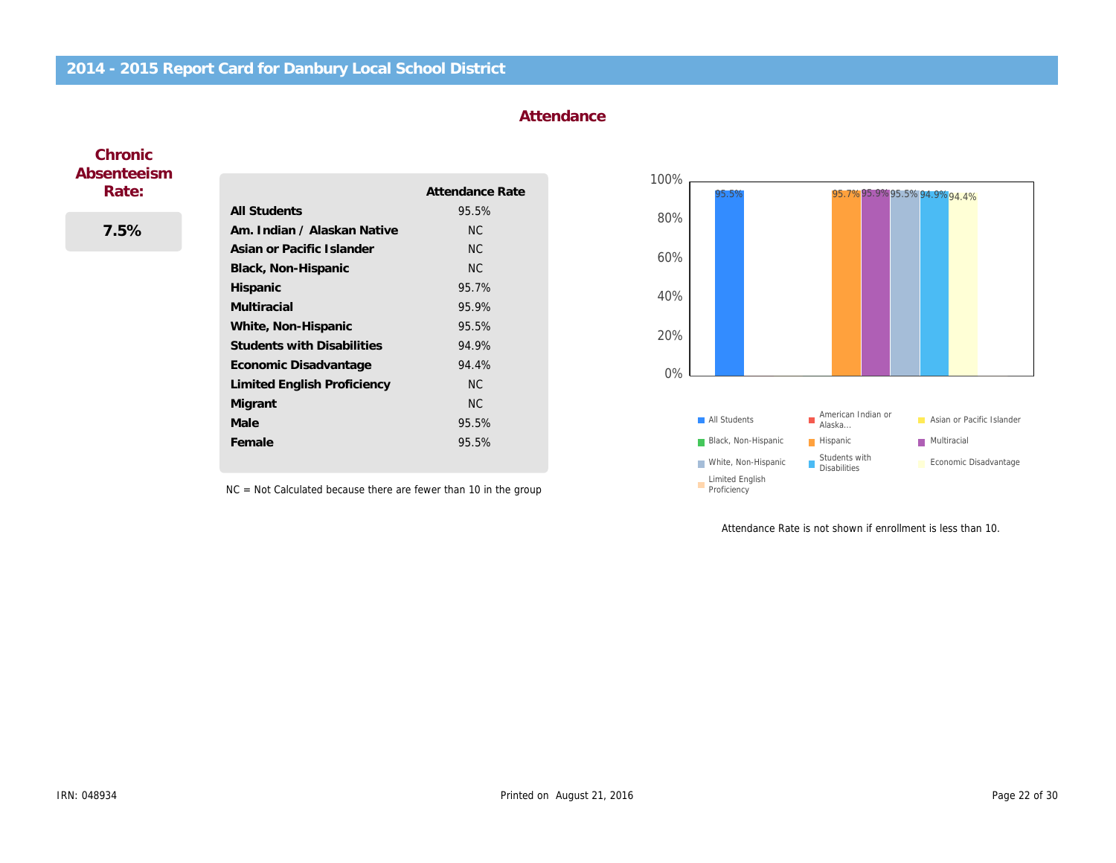#### **Attendance**

#### **Chronic** Absenteeism Rate:

7.5%

|                                   | Attendance Rate |
|-----------------------------------|-----------------|
| <b>All Students</b>               | 95.5%           |
| Am. Indian / Alaskan Native       | NC.             |
| Asian or Pacific Islander         | <b>NC</b>       |
| Black, Non-Hispanic               | <b>NC</b>       |
| <b>Hispanic</b>                   | 95.7%           |
| Multiracial                       | 95.9%           |
| White, Non-Hispanic               | 95.5%           |
| <b>Students with Disabilities</b> | 94.9%           |
| Economic Disadvantage             | 94.4%           |
| Limited English Proficiency       | <b>NC</b>       |
| Migrant                           | NC.             |
| Male                              | 95.5%           |
| Female                            | 95.5%           |

NC = Not Calculated because there are fewer than 10 in the group

Attendance Rate is not shown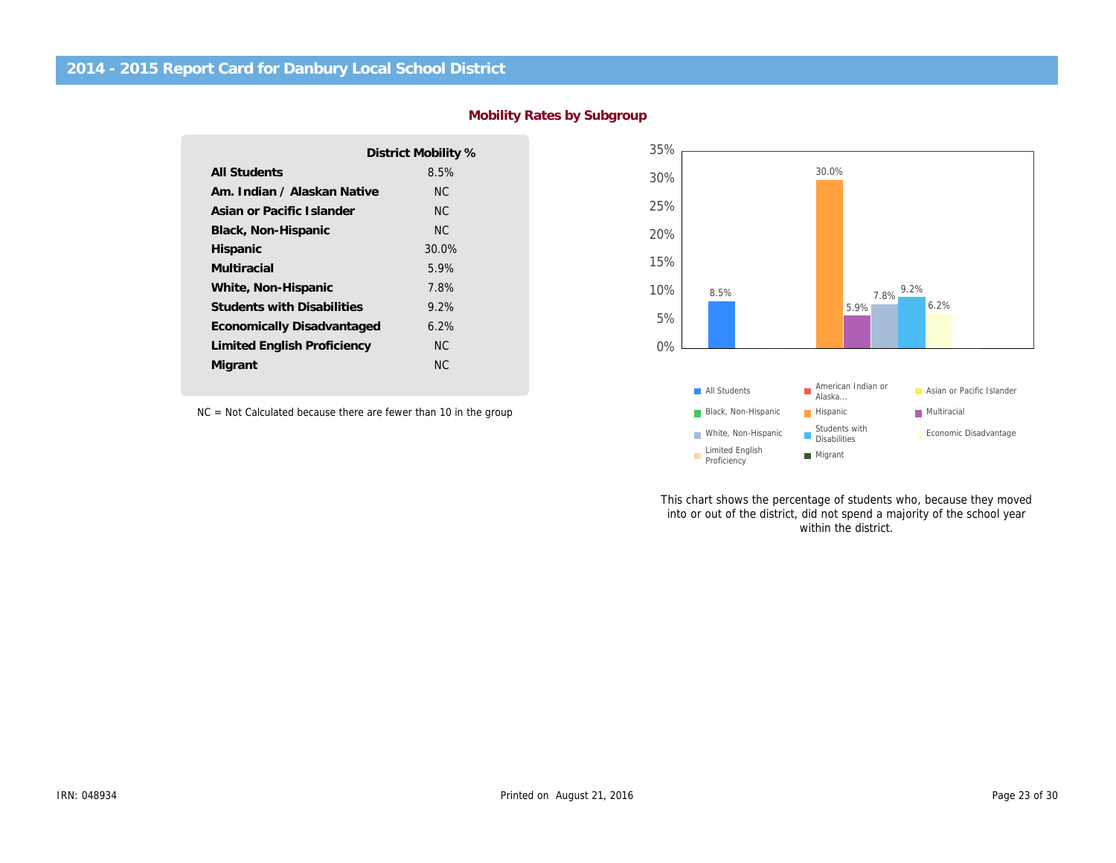|                                   | District Mobility % |
|-----------------------------------|---------------------|
|                                   |                     |
| <b>All Students</b>               | 8.5%                |
| Am. Indian / Alaskan Native       | NC.                 |
| Asian or Pacific Islander         | NC.                 |
| Black, Non-Hispanic               | NC.                 |
| Hispanic                          | 30.0%               |
| Multiracial                       | 5.9%                |
| White, Non-Hispanic               | 7.8%                |
| <b>Students with Disabilities</b> | $9.2\%$             |
| Economically Disadvantaged        | 6.2%                |
| Limited English Proficiency       | ΝC                  |
| Migrant                           | ΝC                  |
|                                   |                     |

NC = Not Calculated because there are fewer than 10 in the group

This chart shows the percentage of stu into or out of the district, did not spend within the di

Mobility Rates by Subgroup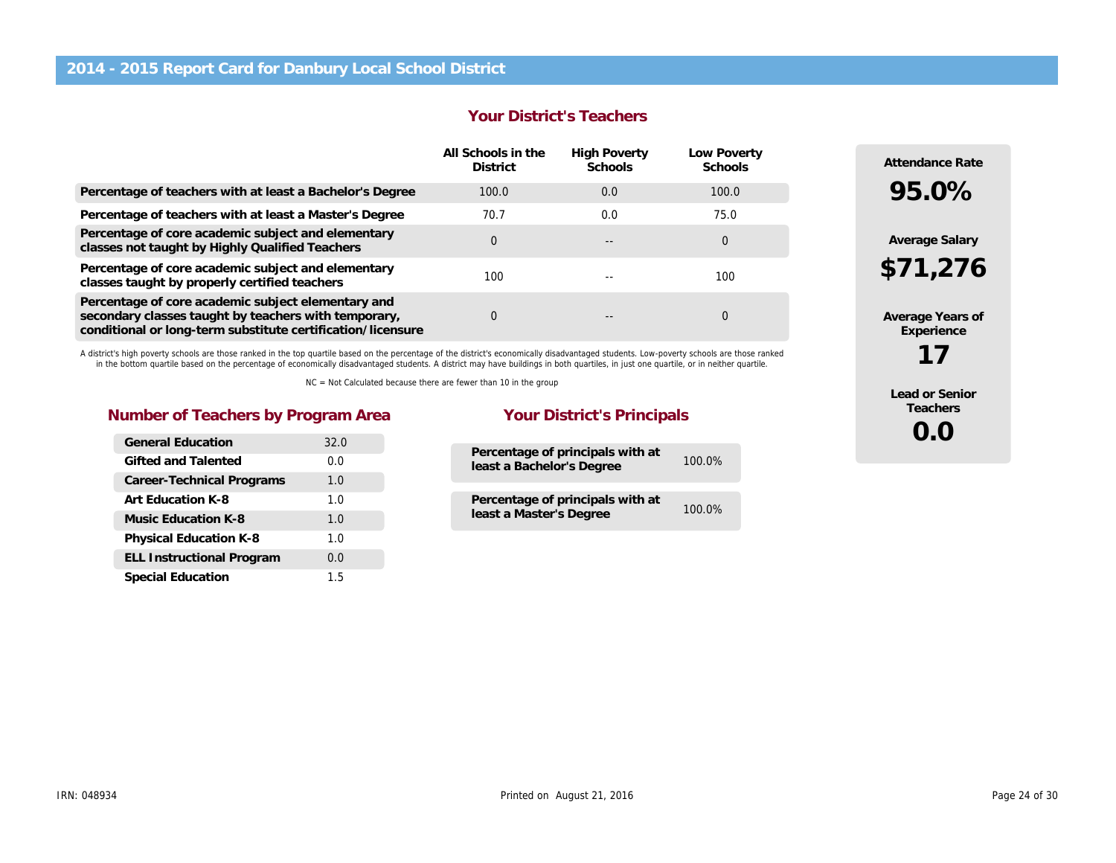#### Your District's Teachers

|                                                                                                                                                                           | All Schools in the<br><b>District</b> | <b>High Poverty</b><br>Schools | Low Poverty<br><b>Schools</b> |
|---------------------------------------------------------------------------------------------------------------------------------------------------------------------------|---------------------------------------|--------------------------------|-------------------------------|
| Percentage of teachers with at least a Bachelor's Degree                                                                                                                  | 100.0                                 | 0.0                            | 100.0                         |
| Percentage of teachers with at least a Master's Degree                                                                                                                    | 70.7                                  | 0.0                            | 75.0                          |
| Percentage of core academic subject and elementary<br>classes not taught by Highly Qualified Teachers                                                                     | $\Omega$                              |                                | 0                             |
| Percentage of core academic subject and elementary<br>classes taught by properly certified teachers                                                                       | 100                                   |                                | 100                           |
| Percentage of core academic subject elementary and<br>secondary classes taught by teachers with temporary,<br>conditional or long-term substitute certification/licensure | 0                                     |                                | 0                             |

A district's high poverty schools are those ranked in the top quartile based on the percentage of the district's economically disadvantaged students. Low-poverty schools are those ranked in the bottom quartile based on the percentage of economically disadvantaged students. A district may have buildings in both quartiles, in just one quartile, or in neither quartile.

NC = Not Calculated because there are fewer than 10 in the group

#### Number of Teachers by Program Area Your District's Principals

| <b>General Education</b>         | 32.0 |
|----------------------------------|------|
| Gifted and Talented              | 0.0  |
| Career-Technical Programs        | 1.0  |
| Art Education K-8                | 1.0  |
| Music Education K-8              | 1.0  |
| <b>Physical Education K-8</b>    | 1.0  |
| <b>ELL Instructional Program</b> | 0.0  |
| <b>Special Education</b>         | 1.5  |

| Percentage of principals with at<br>least a Bachelor's Degree | 100.0% |
|---------------------------------------------------------------|--------|
| Percentage of principals with at<br>least a Master's Degree   | 100.0% |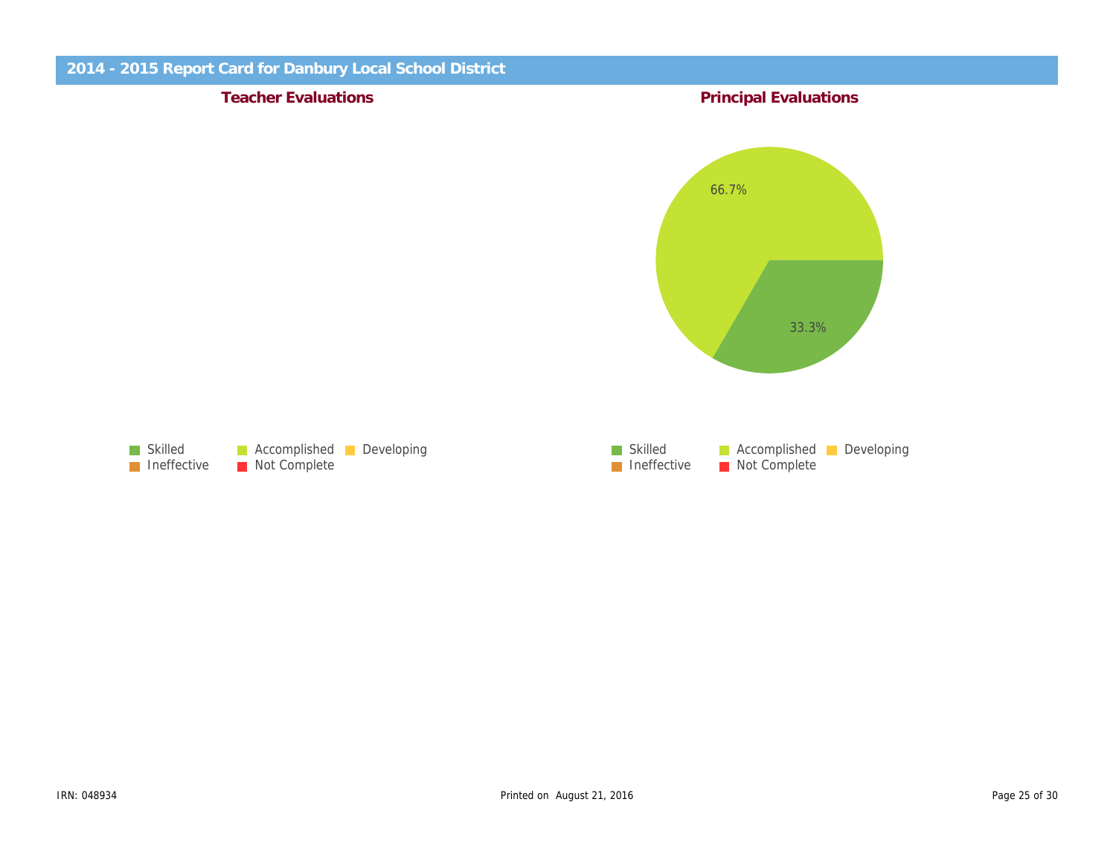Teacher Evaluations **Principal Evaluations** Principal Evaluations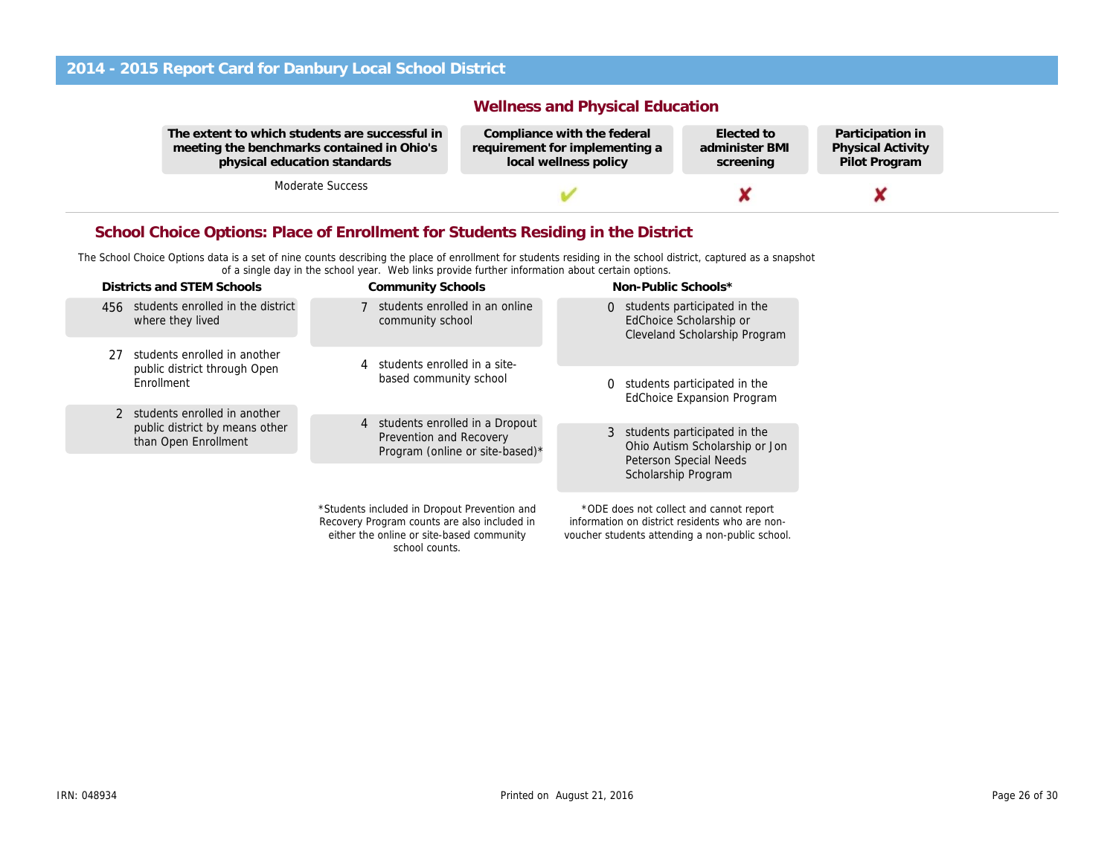The extent to which students are successful in meeting the benchmarks contained in Ohio's physical education standards

Moderate Success

Wellness and Physical Education

Compliance with the federal requirement for implementing a local wellness policy

Elected to administer BMI screening

Partio Physi Pilot

#### School Choice Options: Place of Enrollment for Students Residing in the District

The School Choice Options data is a set of nine counts describing the place of enrollment for students residing in the school district, captured as a snapshot of a single day in the school year. Web links provide further information about certain options.

| Districts and STEM Schools                             |                                                           |                                                                   | <b>Community Schools</b>                                                                                                                  |                                                                                                   | Non-Public Schools*                                                                                                                          |  |
|--------------------------------------------------------|-----------------------------------------------------------|-------------------------------------------------------------------|-------------------------------------------------------------------------------------------------------------------------------------------|---------------------------------------------------------------------------------------------------|----------------------------------------------------------------------------------------------------------------------------------------------|--|
|                                                        | 456 students enrolled in the district<br>where they lived |                                                                   | 7 students enrolled in an online<br>community school                                                                                      |                                                                                                   | 0 students participated in the<br>EdChoice Scholarship or<br>Cleveland Scholarship Program                                                   |  |
| 27                                                     | students enrolled in another                              |                                                                   | students enrolled in a site-<br>4                                                                                                         |                                                                                                   |                                                                                                                                              |  |
|                                                        | public district through Open<br>Enrollment                |                                                                   | based community school                                                                                                                    | 0                                                                                                 | students participated in the<br><b>EdChoice Expansion Program</b>                                                                            |  |
| students enrolled in another<br>$\mathcal{P}$          | 4 students enrolled in a Dropout                          |                                                                   |                                                                                                                                           |                                                                                                   |                                                                                                                                              |  |
| public district by means other<br>than Open Enrollment |                                                           | <b>Prevention and Recovery</b><br>Program (online or site-based)* |                                                                                                                                           | 3 students participated in the<br>Ohio Autism Scholarship or Jon<br><b>Peterson Special Needs</b> |                                                                                                                                              |  |
|                                                        |                                                           |                                                                   |                                                                                                                                           |                                                                                                   | Scholarship Program                                                                                                                          |  |
|                                                        |                                                           |                                                                   | *Students included in Dropout Prevention and<br>Recovery Program counts are also included in<br>either the online or site-based community |                                                                                                   | *ODE does not collect and cannot report<br>information on district residents who are non-<br>voucher students attending a non-public school. |  |

school counts.

voucher students attending a non-public school.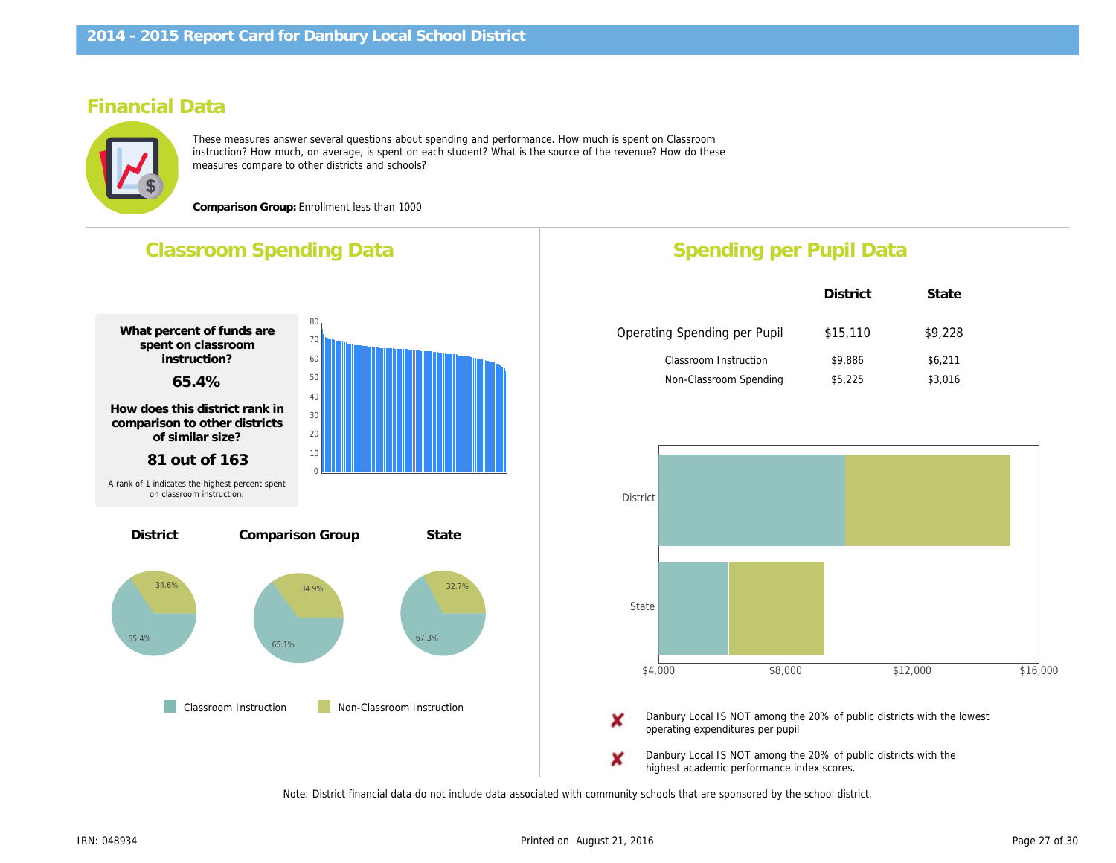#### Financial Data

These measures answer several questions about spending and performance. How much is spent on Classroom instruction? How much, on average, is spent on each student? What is the source of the revenue? How do these measures compare to other districts and schools?

Comparison Group: Enrollment less than 1000

# Classroom Spending Data What percent of funds are spent on classroom instruction? 65.4% How does this district rank in comparison to other districts of similar size? 81 out of 163 Comparison Group State **Classroom Instruction** Non-Classroom Instruction **District** A rank of 1 indicates the highest percent spent on classroom instruction. Spending per Pupil Da District Operating Spending per Pupil \$15,11 Classroom Instruction \$9,886 Non-Classroom Spending \$5,225 Danbury Local IS NOT among the 20% of public Danbury operating expenditures per pupil Danbury Local IS NOT among the 20% of public Danbury

highest academic performance index scores.

Note: District financial data do not include data associated with community schools that are sponsored by the school district.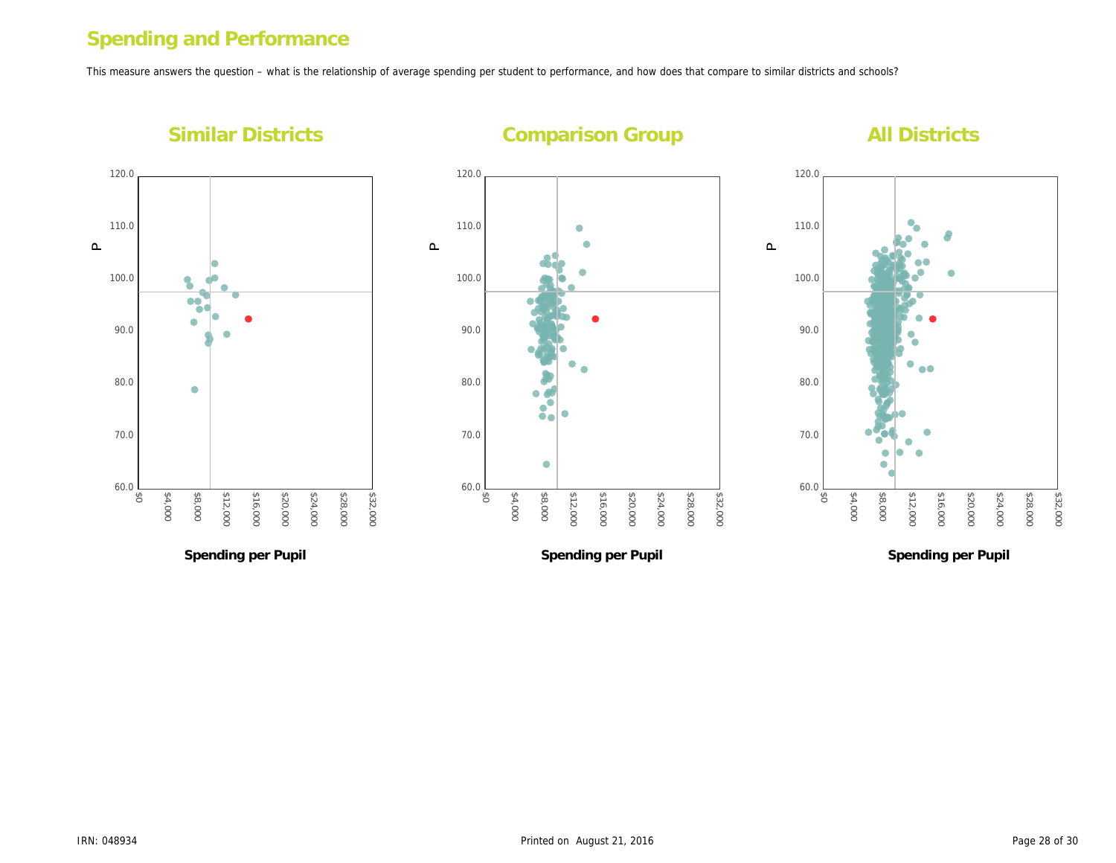# Spending and Performance

This measure answers the question – what is the relationship of average spending per student to performance, and how does that compare to similar districts and s

Similar Districts

Comparison Group

 $\mathtt{\mathtt{a}}$ 

 $\mathbf{\underline{\Omega}}$ 

 $\mathbf{\underline{\Omega}}$ 

Spending per Pupil

Spending per Pupil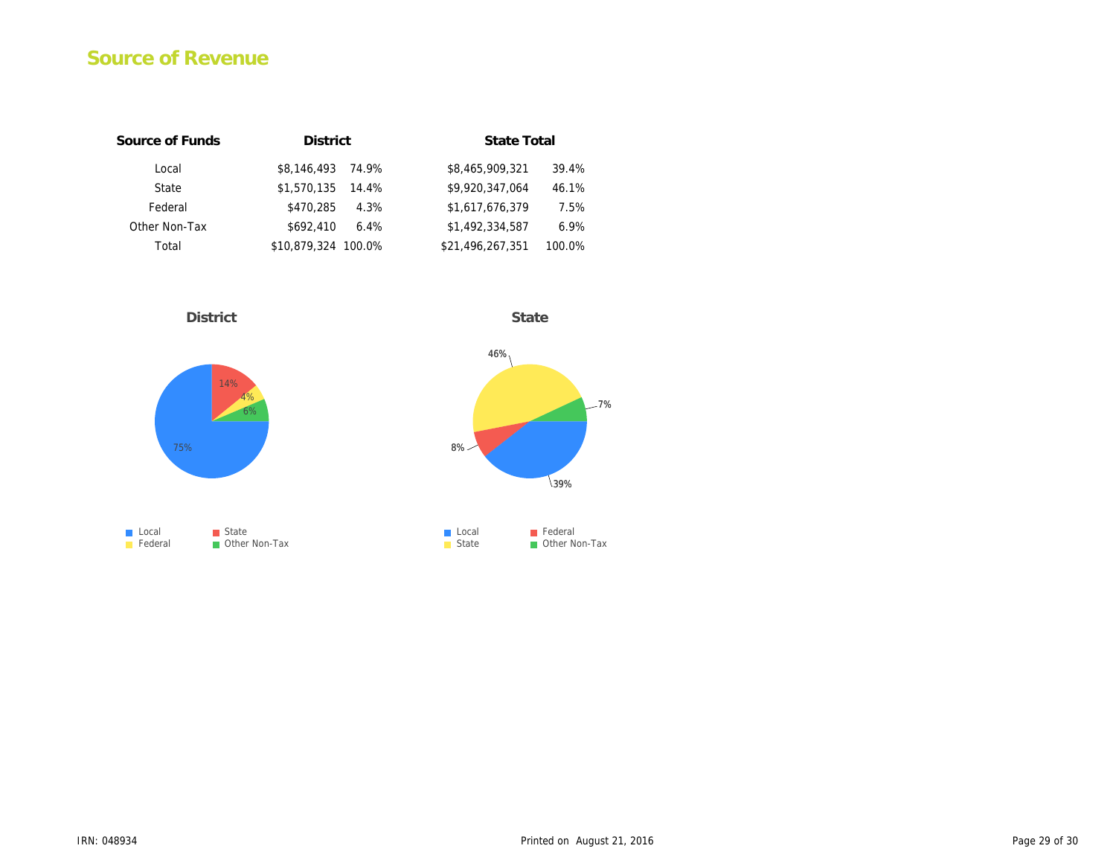# Source of Revenue

| Source of Funds | <b>District</b>      | State Total                |
|-----------------|----------------------|----------------------------|
| Local           | \$8.146.493<br>74.9% | \$8,465,909,321<br>39.4%   |
| State           | \$1,570,135<br>14.4% | \$9.920.347.064<br>46.1%   |
| Federal         | \$470.285<br>4.3%    | \$1,617,676,379<br>7.5%    |
| Other Non-Tax   | \$692.410<br>6.4%    | \$1,492,334,587<br>6.9%    |
| Total           | \$10,879,324 100.0%  | \$21,496,267,351<br>100.0% |